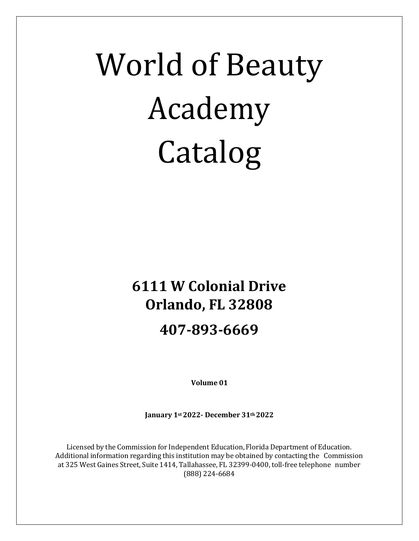# World of Beauty Academy Catalog

# **6111 W Colonial Drive Orlando, FL 32808**

## **407-893-6669**

**Volume 01**

**January 1st2022- December 31th 2022**

Licensed by the Commission for Independent Education, Florida Department of Education. Additional information regarding this institution may be obtained by contacting the Commission at 325 West Gaines Street, Suite 1414, Tallahassee, FL 32399-0400, toll-free telephone number (888) 224-6684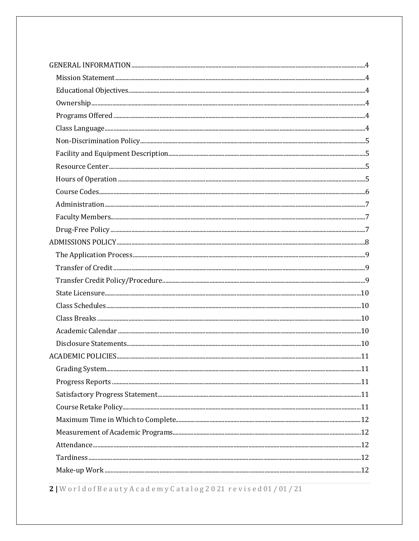2 | World of Beauty A cademy Catalog 2021 revised 01/01/21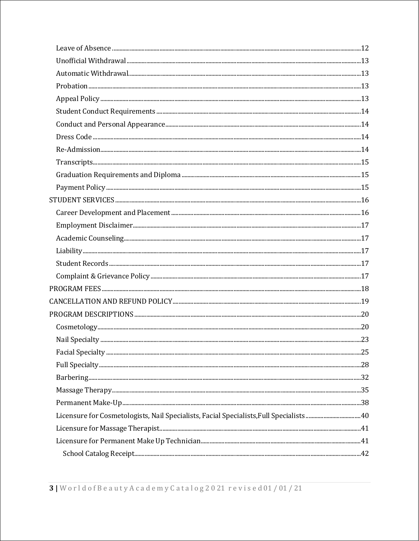| ${\bf Problem 13}$ |  |
|--------------------|--|
|                    |  |
|                    |  |
|                    |  |
|                    |  |
|                    |  |
| $Transcripts. 15$  |  |
|                    |  |
|                    |  |
|                    |  |
|                    |  |
|                    |  |
|                    |  |
|                    |  |
|                    |  |
|                    |  |
|                    |  |
|                    |  |
|                    |  |
|                    |  |
|                    |  |
|                    |  |
|                    |  |
|                    |  |
|                    |  |
|                    |  |
|                    |  |
|                    |  |
|                    |  |
|                    |  |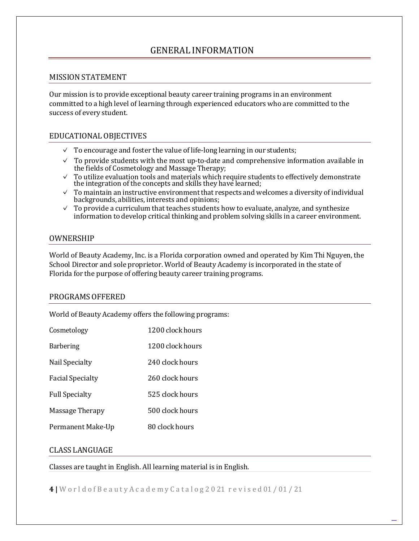### <span id="page-3-0"></span>GENERAL INFORMATION

#### <span id="page-3-1"></span>MISSIONSTATEMENT

Our mission is to provide exceptional beauty career training programs in an environment committed to a high level of learning through experienced educators who are committed to the success of every student.

#### <span id="page-3-2"></span>EDUCATIONALOBJECTIVES

- ✓ To encourage and foster the value of life-long learning in our students;
- $\checkmark$  To provide students with the most up-to-date and comprehensive information available in the fields of Cosmetology and Massage Therapy;
- ✓ To utilize evaluation tools and materials which require students to effectively demonstrate the integration of the concepts and skills they have learned;
- ✓ To maintain an instructive environmentthat respects and welcomes a diversity of individual backgrounds, abilities, interests and opinions;
- $\checkmark$  To provide a curriculum that teaches students how to evaluate, analyze, and synthesize information to develop critical thinking and problem solving skills in a career environment.

#### <span id="page-3-3"></span>OWNERSHIP

World of Beauty Academy, Inc. is a Florida corporation owned and operated by Kim Thi Nguyen, the School Director and sole proprietor. World of Beauty Academy is incorporated in the state of Florida for the purpose of offering beauty career training programs.

#### <span id="page-3-4"></span>PROGRAMS OFFERED

World of Beauty Academy offers the following programs:

| Cosmetology             | 1200 clock hours |
|-------------------------|------------------|
| <b>Barbering</b>        | 1200 clock hours |
| Nail Specialty          | 240 clock hours  |
| <b>Facial Specialty</b> | 260 clock hours  |
| <b>Full Specialty</b>   | 525 clock hours  |
| Massage Therapy         | 500 clock hours  |
| Permanent Make-Up       | 80 clock hours   |

#### <span id="page-3-5"></span>CLASS LANGUAGE

Classes are taught in English. All learning material is in English.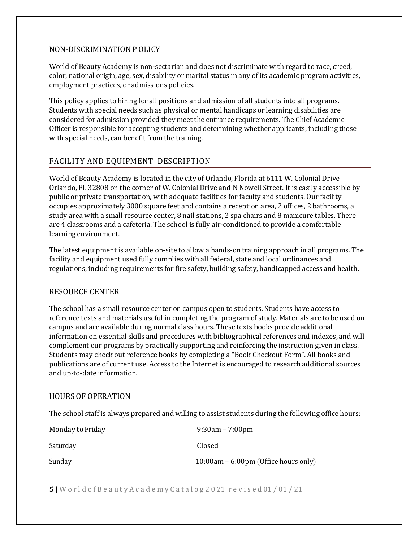#### <span id="page-4-0"></span>NON-DISCRIMINATION P OLICY

World of Beauty Academy is non-sectarian and does not discriminate with regard to race, creed, color, national origin, age, sex, disability or marital status in any of its academic program activities, employment practices, or admissions policies.

This policy applies to hiring for all positions and admission of all students into all programs. Students with special needs such as physical or mental handicaps or learning disabilities are considered for admission provided they meet the entrance requirements. The Chief Academic Officer is responsible for accepting students and determining whether applicants, including those with special needs, can benefit from the training.

### <span id="page-4-1"></span>FACILITY AND EQUIPMENT DESCRIPTION

World of Beauty Academy is located in the city of Orlando, Florida at 6111 W. Colonial Drive Orlando, FL 32808 on the corner of W. Colonial Drive and N Nowell Street. It is easily accessible by public or private transportation, with adequate facilities for faculty and students. Our facility occupies approximately 3000 square feet and contains a reception area, 2 offices, 2 bathrooms, a study area with a small resource center, 8 nail stations, 2 spa chairs and 8 manicure tables. There are 4 classrooms and a cafeteria. The school is fully air-conditioned to provide a comfortable learning environment.

The latest equipment is available on-site to allow a hands-on training approach in all programs. The facility and equipment used fully complies with all federal, state and local ordinances and regulations, including requirements for fire safety, building safety, handicapped access and health.

#### <span id="page-4-2"></span>RESOURCE CENTER

The school has a small resource center on campus open to students. Students have access to reference texts and materials useful in completing the program of study. Materials are to be used on campus and are available during normal class hours. These texts books provide additional information on essential skills and procedures with bibliographical references and indexes, and will complement our programs by practically supporting and reinforcing the instruction given in class. Students may check out reference books by completing a "Book Checkout Form". All books and publications are of current use. Access to the Internet is encouraged to research additional sources and up-to-date information.

#### <span id="page-4-3"></span>HOURS OF OPERATION

The school staff is always prepared and willing to assist students during the following office hours:

| Monday to Friday | $9:30$ am – 7:00pm                     |
|------------------|----------------------------------------|
| Saturday         | Closed                                 |
| Sunday           | 10:00am $-6:00$ pm (Office hours only) |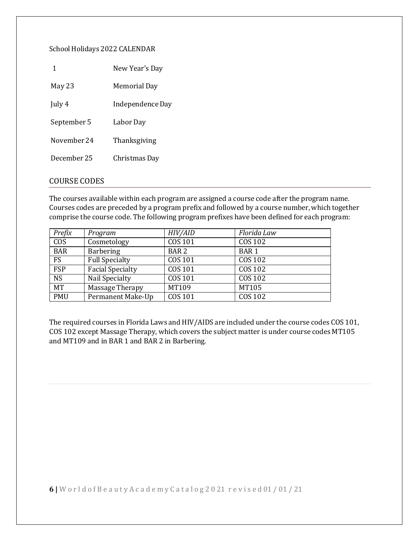#### School Holidays 2022 CALENDAR

|             | New Year's Day   |
|-------------|------------------|
| May 23      | Memorial Day     |
| July 4      | Independence Day |
| September 5 | Labor Dav        |
| November 24 | Thanksgiving     |
| December 25 | Christmas Day    |
|             |                  |

#### <span id="page-5-0"></span>COURSE CODES

The courses available within each program are assigned a course code after the program name. Courses codes are preceded by a program prefix and followed by a course number, which together comprise the course code. The following program prefixes have been defined for each program:

| Prefix                 | Program                 | HIV/AID          | Florida Law    |
|------------------------|-------------------------|------------------|----------------|
| <b>COS</b>             | Cosmetology             | COS 101          | <b>COS 102</b> |
| <b>BAR</b>             | <b>Barbering</b>        | BAR <sub>2</sub> | <b>BAR1</b>    |
| <b>FS</b>              | <b>Full Specialty</b>   | COS 101          | COS 102        |
| <b>FSP</b>             | <b>Facial Specialty</b> | <b>COS 101</b>   | <b>COS 102</b> |
| $\overline{\text{NS}}$ | Nail Specialty          | COS 101          | <b>COS 102</b> |
| <b>MT</b>              | Massage Therapy         | MT109            | MT105          |
| <b>PMU</b>             | Permanent Make-Up       | <b>COS 101</b>   | <b>COS 102</b> |

The required courses in Florida Laws and HIV/AIDS are included under the course codes COS 101, COS 102 except Massage Therapy, which covers the subject matter is under course codes MT105 and MT109 and in BAR 1 and BAR 2 in Barbering.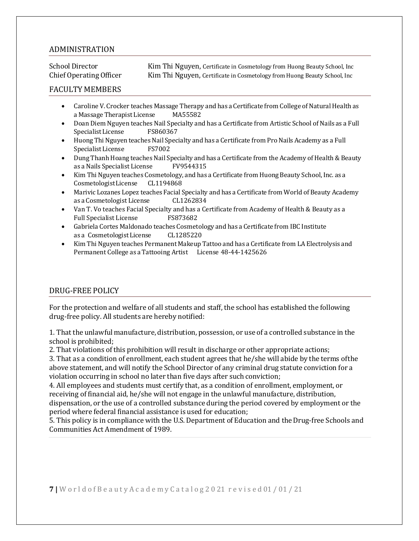#### <span id="page-6-0"></span>ADMINISTRATION

School Director Kim Thi Nguyen, Certificate in Cosmetology from Huong Beauty School, Inc<br>Chief Operating Officer Kim Thi Nguyen, Certificate in Cosmetology from Huong Beauty School, Inc Kim Thi Nguyen, Certificate in Cosmetology from Huong Beauty School, Inc

#### <span id="page-6-1"></span>FACULTY MEMBERS

- Caroline V. Crocker teaches Massage Therapy and has a Certificate from College of Natural Health as<br>a Massage Therapist License MA55582 a Massage Therapist License
- **Doan Diem Nguyen teaches Nail Specialty and has a Certificate from Artistic School of Nails as a Full Specialist License** FS860367 Specialist License
- Huong Thi Nguyen teaches Nail Specialty and has a Certificate from Pro Nails Academy as a Full<br>Specialist License FS7002 Specialist License
- Dung Thanh Hoang teaches Nail Specialty and has a Certificate from the Academy of Health & Beauty<br>as a Nails Specialist License FV9544315 as a Nails Specialist License
- Kim Thi Nguyen teaches Cosmetology, and has a Certificate from Huong Beauty School, Inc. as a CosmetologistLicense
- Marivic Lozanes Lopez teaches Facial Specialty and has a Certificate from World of Beauty Academy<br>as a Cosmetologist License CL1262834 as a Cosmetologist License
- Van T. Vo teaches Facial Specialty and has a Certificate from Academy of Health & Beauty as a Full Specialist License
- Gabriela Cortes Maldonado teaches Cosmetology and has a Certificate from IBC Institute<br>as a Cosmetologist License (CL1285220) as a Cosmetologist License
- Kim Thi Nguyen teaches Permanent Makeup Tattoo and has a Certificate from LA Electrolysis and Permanent College as a Tattooing Artist License 48-44-1425626

#### <span id="page-6-2"></span>DRUG-FREE POLICY

For the protection and welfare of all students and staff, the school has established the following drug-free policy. All students are hereby notified:

1. That the unlawful manufacture, distribution, possession, or use of a controlled substance in the school is prohibited;

2. That violations of this prohibition will result in discharge or other appropriate actions;

3. That as a condition of enrollment, each student agrees that he/she will abide by the terms ofthe above statement, and will notify the School Director of any criminal drug statute conviction for a violation occurring in school no later than five days after such conviction;

4. All employees and students must certify that, as a condition of enrollment, employment, or receiving of financial aid, he/she will not engage in the unlawful manufacture, distribution, dispensation, or the use of a controlled substance during the period covered by employment or the period where federal financial assistance is used for education;

5. This policy is in compliance with the U.S. Department of Education and theDrug-free Schools and Communities Act Amendment of 1989.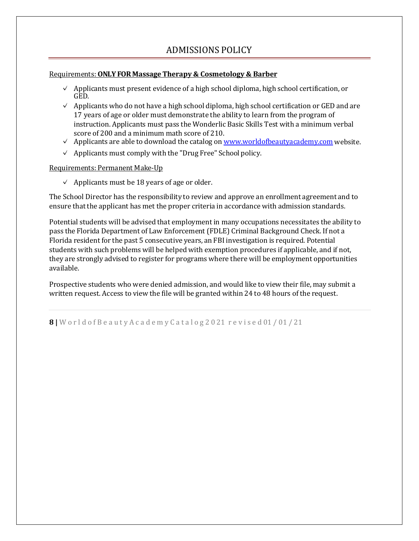### ADMISSIONS POLICY

#### <span id="page-7-0"></span>Requirements:**ONLY FOR Massage Therapy & Cosmetology & Barber**

- ✓ Applicants must present evidence of a high school diploma, high school certification, or GED.
- $\vee$  Applicants who do not have a high school diploma, high school certification or GED and are 17 years of age or older must demonstrate the ability to learn from the program of instruction. Applicants must pass the Wonderlic Basic Skills Test with a minimum verbal score of 200 and a minimum math score of 210.
- $\checkmark$  Applicants are able to download the catalog on [www.worldofbeautyacademy.com](http://www.worldofbeautyacademy.com/) website.
- $\vee$  Applicants must comply with the "Drug Free" School policy.

#### Requirements: Permanent Make-Up

 $\vee$  Applicants must be 18 years of age or older.

The School Director has the responsibility to review and approve an enrollment agreement and to ensure that the applicant has met the proper criteria in accordance with admission standards.

Potential students will be advised that employment in many occupations necessitates the ability to pass the Florida Department of Law Enforcement (FDLE) Criminal Background Check. If not a Florida resident for the past 5 consecutive years, an FBI investigation is required. Potential students with such problems will be helped with exemption procedures if applicable, and if not, they are strongly advised to register for programs where there will be employment opportunities available.

Prospective students who were denied admission, and would like to view their file, may submit a written request. Access to view the file will be granted within 24 to 48 hours of the request.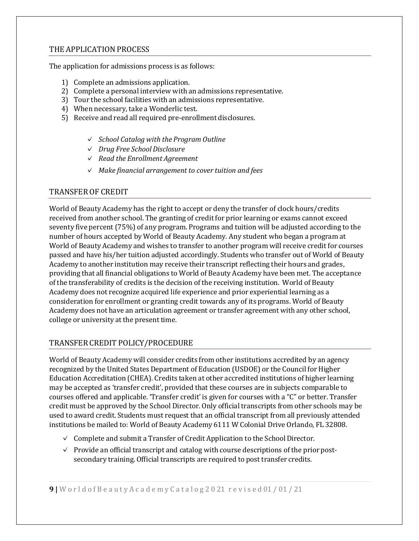#### <span id="page-8-0"></span>THE APPLICATION PROCESS

The application for admissions process is as follows:

- 1) Complete an admissions application.
- 2) Complete a personal interview with an admissions representative.
- 3) Tour the school facilities with an admissions representative.
- 4) When necessary, take a Wonderlic test.
- 5) Receive and read all required pre-enrollment disclosures.
	- ✓ *School Catalog with the Program Outline*
	- ✓ *Drug Free School Disclosure*
	- ✓ *Read the Enrollment Agreement*
	- ✓ *Make financial arrangement to cover tuition and fees*

#### <span id="page-8-1"></span>TRANSFEROF CREDIT

World of Beauty Academy has the right to accept or deny the transfer of clock hours/credits received from another school. The granting of credit for prior learning or exams cannot exceed seventy five percent (75%) of any program. Programs and tuition will be adjusted according to the number of hours accepted by World of Beauty Academy. Any student who began a program at World of Beauty Academy and wishes to transfer to another program will receive credit for courses passed and have his/her tuition adjusted accordingly. Students who transfer out of World of Beauty Academy to another institution may receive their transcript reflecting their hours and grades, providing that all financial obligations to World of Beauty Academy have been met. The acceptance of the transferability of credits is the decision of the receiving institution. World of Beauty Academy does not recognize acquired life experience and prior experiential learning as a consideration for enrollment or granting credit towards any of its programs. World of Beauty Academy does not have an articulation agreement or transfer agreement with any other school, college or university at the present time.

#### <span id="page-8-2"></span>TRANSFER CREDIT POLICY/PROCEDURE

World of Beauty Academy will consider credits from other institutions accredited by an agency recognized by the United States Department of Education (USDOE) or the Council for Higher Education Accreditation (CHEA). Credits taken at other accredited institutions of higher learning may be accepted as 'transfer credit', provided that these courses are in subjects comparable to courses offered and applicable. 'Transfer credit' is given for courses with a "C" or better. Transfer credit must be approved by the School Director. Only official transcripts from other schools may be used to award credit. Students must request that an official transcript from all previously attended institutions be mailed to: World of Beauty Academy 6111 W Colonial Drive Orlando, FL 32808.

- $\checkmark$  Complete and submit a Transfer of Credit Application to the School Director.
- $\vee$  Provide an official transcript and catalog with course descriptions of the prior postsecondary training. Official transcripts are required to post transfer credits.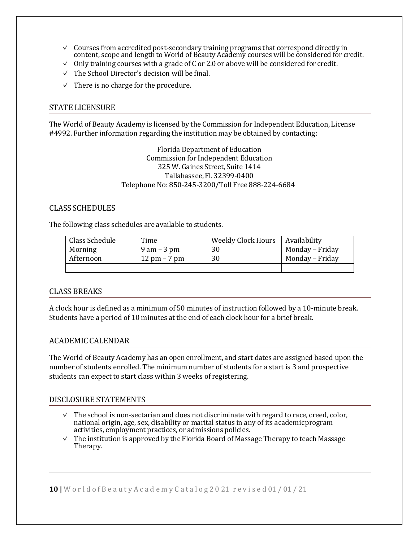- $\checkmark$  Courses from accredited post-secondary training programs that correspond directly in content, scope and length to World of Beauty Academy courses will be considered for credit.
- $\vee$  Only training courses with a grade of C or 2.0 or above will be considered for credit.
- $\vee$  The School Director's decision will be final.
- $\vee$  There is no charge for the procedure.

#### <span id="page-9-0"></span>STATE LICENSURE

The World of Beauty Academy is licensed by the Commission for Independent Education, License #4992. Further information regarding the institution may be obtained by contacting:

> Florida Department of Education Commission for Independent Education 325 W. Gaines Street, Suite 1414 Tallahassee, Fl. 32399-0400 TelephoneNo: 850-245-3200/Toll Free 888-224-6684

#### <span id="page-9-1"></span>CLASS SCHEDULES

The following class schedules are available to students.

| Class Schedule | Time                           | Weekly Clock Hours | Availability    |
|----------------|--------------------------------|--------------------|-----------------|
| Morning        | $9$ am $-3$ pm                 | 30                 | Monday – Friday |
| Afternoon      | $12 \text{ pm} - 7 \text{ pm}$ | 30                 | Monday – Friday |
|                |                                |                    |                 |

#### <span id="page-9-2"></span>CLASS BREAKS

A clock hour is defined as a minimum of 50 minutes of instruction followed by a 10-minute break. Students have a period of 10 minutes at the end of each clock hour for a brief break.

#### <span id="page-9-3"></span>ACADEMIC CALENDAR

The World of Beauty Academy has an open enrollment, and start dates are assigned based upon the number of students enrolled. The minimum number of students for a start is 3 and prospective students can expect to start class within 3 weeks of registering.

#### <span id="page-9-4"></span>DISCLOSURE STATEMENTS

- ✓ The school is non-sectarian and does not discriminate with regard to race, creed, color, national origin, age, sex, disability or marital status in any of its academicprogram activities, employment practices, or admissions policies.
- $\vee$  The institution is approved by the Florida Board of Massage Therapy to teach Massage Therapy.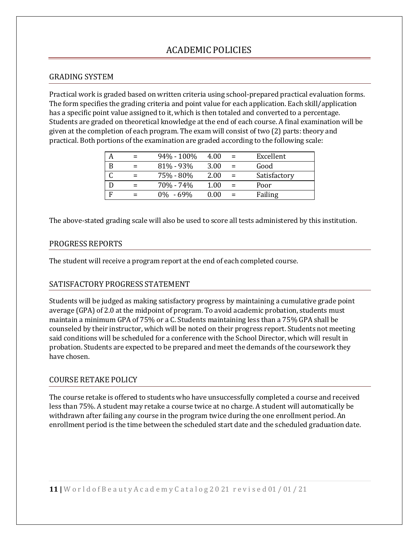### ACADEMIC POLICIES

#### <span id="page-10-1"></span><span id="page-10-0"></span>GRADING SYSTEM

Practical work is graded based on written criteria using school-prepared practical evaluation forms. The form specifies the grading criteria and point value for each application. Each skill/application has a specific point value assigned to it, which is then totaled and converted to a percentage. Students are graded on theoretical knowledge at the end of each course. A final examination will be given at the completion of each program. The exam will consist of two (2) parts: theory and practical. Both portions of the examination are graded according to the following scale:

|   | 94% - 100%    | 4.00 | $=$ | Excellent    |
|---|---------------|------|-----|--------------|
| B | $81\% - 93\%$ | 3.00 |     | Good         |
|   | 75% - 80%     | 2.00 | $=$ | Satisfactory |
|   | 70% - 74%     | 1.00 |     | Poor         |
|   | $0\% - 69\%$  | 0.00 |     | Failing      |

The above-stated grading scale will also be used to score all tests administered by this institution.

#### <span id="page-10-2"></span>PROGRESS REPORTS

The student will receive a program report at the end of each completed course.

#### <span id="page-10-3"></span>SATISFACTORY PROGRESS STATEMENT

Students will be judged as making satisfactory progress by maintaining a cumulative grade point average (GPA) of 2.0 at the midpoint of program. To avoid academic probation, students must maintain a minimum GPA of 75% or a C. Students maintaining less than a 75% GPA shall be counseled by their instructor, which will be noted on their progress report. Students not meeting said conditions will be scheduled for a conference with the School Director, which will result in probation. Students are expected to be prepared and meet the demands of the coursework they have chosen.

#### <span id="page-10-4"></span>COURSE RETAKE POLICY

The course retake is offered to students who have unsuccessfully completed a course and received less than 75%. A student may retake a course twice at no charge. A student will automatically be withdrawn after failing any course in the program twice during the one enrollment period. An enrollment period is the time between the scheduled start date and the scheduled graduation date.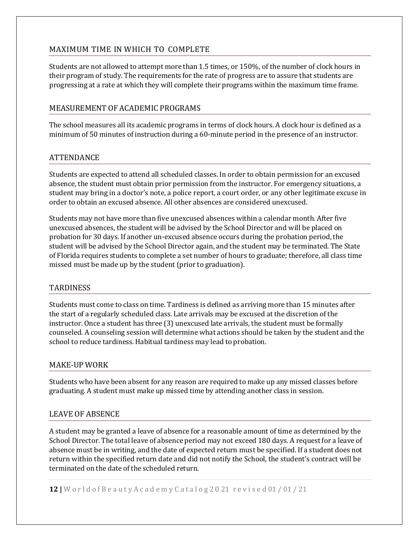#### <span id="page-11-0"></span>MAXIMUM TIME IN WHICH TO COMPLETE

Students are not allowed to attempt more than 1.5 times, or 150%, of the number of clock hours in their program of study. The requirements for the rate of progress are to assure that students are progressing at a rate at which they will complete their programs within the maximum time frame.

#### <span id="page-11-1"></span>MEASUREMENT OF ACADEMIC PROGRAMS

The school measures all its academic programs in terms of clock hours. A clock hour is defined as a minimum of 50 minutes of instruction during a 60-minute period in the presence of an instructor.

#### <span id="page-11-2"></span>ATTENDANCE

Students are expected to attend all scheduled classes. In order to obtain permission for an excused absence, the student must obtain prior permission from the instructor. For emergency situations, a student may bring in a doctor's note, a police report, a court order, or any other legitimate excuse in order to obtain an excused absence. All other absences are considered unexcused.

Students may not have more than five unexcused absences within a calendar month. After five unexcused absences, the student will be advised by the School Director and will be placed on probation for 30 days. If another un-excused absence occurs during the probation period,the student will be advised by the School Director again, and the student may be terminated. The State of Florida requires students to complete a set number of hours to graduate; therefore, all class time missed must be made up by the student (prior to graduation).

#### <span id="page-11-3"></span>**TARDINESS**

Students must come to class on time. Tardiness is defined as arriving more than 15 minutes after the start of a regularly scheduled class. Late arrivals may be excused at the discretion of the instructor. Once a student has three (3) unexcused late arrivals, the student must be formally counseled. A counseling session will determine what actions should be taken by the student and the school to reduce tardiness.Habitual tardiness may lead to probation.

#### <span id="page-11-4"></span>MAKE-UP WORK

Students who have been absent for any reason are required to make up any missed classes before graduating. A student must make up missed time by attending another class in session.

#### <span id="page-11-5"></span>LEAVE OF ABSENCE

A student may be granted a leave of absence for a reasonable amount of time as determined by the School Director. The total leave of absence period may not exceed 180 days. A request for a leave of absence must be in writing, and the date of expected return must be specified. If a student does not return within the specified return date and did not notify the School, the student's contract will be terminated on the date of the scheduled return.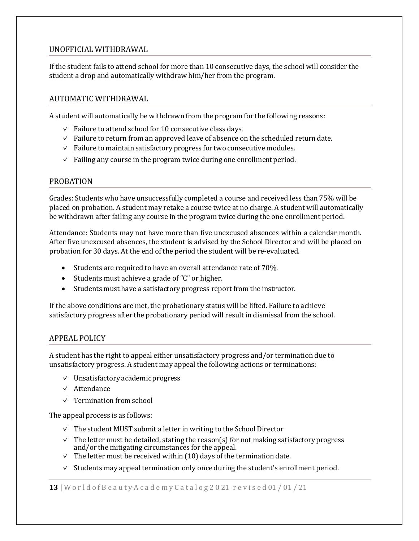#### <span id="page-12-0"></span>UNOFFICIALWITHDRAWAL

If the student fails to attend school for more than 10 consecutive days, the school will consider the student a drop and automatically withdraw him/her from the program.

#### <span id="page-12-1"></span>AUTOMATIC WITHDRAWAL

A student will automatically be withdrawn from the program for the following reasons:

- ✓ Failure to attend school for 10 consecutive class days.
- $\checkmark$  Failure to return from an approved leave of absence on the scheduled return date.
- $\checkmark$  Failure to maintain satisfactory progress for two consecutive modules.
- $\vee$  Failing any course in the program twice during one enrollment period.

#### <span id="page-12-2"></span>PROBATION

Grades: Students who have unsuccessfully completed a course and received less than 75% will be placed on probation. A student may retake a course twice at no charge. A student will automatically be withdrawn after failing any course in the program twice during the one enrollment period.

Attendance: Students may not have more than five unexcused absences within a calendar month. After five unexcused absences, the student is advised by the School Director and will be placed on probation for 30 days. At the end of the period the student will be re-evaluated.

- Students are required to have an overall attendance rate of 70%.
- Students must achieve a grade of "C" or higher.
- Students must have a satisfactory progress report from the instructor.

If the above conditions are met, the probationary status will be lifted. Failure to achieve satisfactory progress after the probationary period will result in dismissal from the school.

#### <span id="page-12-3"></span>APPEAL POLICY

A student has the right to appeal either unsatisfactory progress and/or termination due to unsatisfactory progress. A student may appeal the following actions or terminations:

- ✓ Unsatisfactory academicprogress
- ✓ Attendance
- ✓ Termination from school

The appeal process is as follows:

- $\vee$  The student MUST submit a letter in writing to the School Director
- $\checkmark$  The letter must be detailed, stating the reason(s) for not making satisfactory progress and/or the mitigating circumstances for the appeal.
- $\checkmark$  The letter must be received within (10) days of the termination date.
- $\checkmark$  Students may appeal termination only once during the student's enrollment period.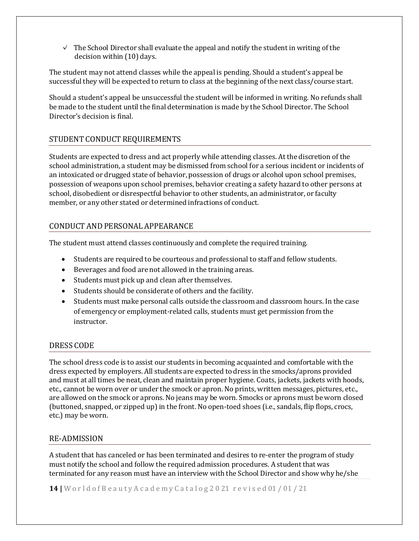$\checkmark$  The School Director shall evaluate the appeal and notify the student in writing of the decision within (10) days.

The student may not attend classes while the appeal is pending. Should a student's appeal be successful they will be expected to return to class at the beginning of the next class/course start.

Should a student's appeal be unsuccessful the student will be informed in writing. No refunds shall be made to the student until the final determination is made by the School Director. The School Director's decision is final.

### <span id="page-13-0"></span>STUDENT CONDUCT REQUIREMENTS

Students are expected to dress and act properly while attending classes. At the discretion of the school administration, a student may be dismissed from school for a serious incident or incidents of an intoxicated or drugged state of behavior, possession of drugs or alcohol upon school premises, possession of weapons upon school premises, behavior creating a safety hazard to other persons at school, disobedient or disrespectful behavior to other students, an administrator, or faculty member, or any other stated or determined infractions of conduct.

#### <span id="page-13-1"></span>CONDUCT AND PERSONAL APPEARANCE

The student must attend classes continuously and complete the required training.

- Students are required to be courteous and professional to staff and fellow students.
- Beverages and food are not allowed in the training areas.
- Students must pick up and clean after themselves.
- Students should be considerate of others and the facility.
- Students must make personal calls outside the classroom and classroom hours. In the case of emergency or employment-related calls, students must get permission from the instructor.

#### <span id="page-13-2"></span>DRESS CODE

The school dress code is to assist our students in becoming acquainted and comfortable with the dress expected by employers. All students are expected to dress in the smocks/aprons provided and must at all times be neat, clean and maintain proper hygiene. Coats, jackets, jackets with hoods, etc., cannot be worn over or under the smock or apron. No prints, written messages, pictures, etc., are allowed on the smock or aprons. No jeans may be worn. Smocks or aprons must be worn closed (buttoned, snapped, or zipped up) in the front. No open-toed shoes (i.e., sandals, flip flops, crocs, etc.) may be worn.

#### <span id="page-13-3"></span>RE-ADMISSION

A student that has canceled or has been terminated and desires to re-enter the program of study must notify the school and follow the required admission procedures. A student that was terminated for any reason must have an interview with the School Director and show why he/she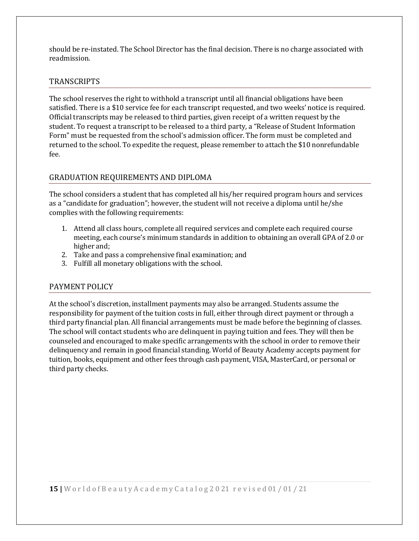should be re-instated. The School Director has the final decision. There is no charge associated with readmission.

#### <span id="page-14-0"></span>**TRANSCRIPTS**

The school reserves the right to withhold a transcript until all financial obligations have been satisfied. There is a \$10 service fee for each transcript requested, and two weeks' notice is required. Official transcripts may be released to third parties, given receipt of a written request by the student. To request a transcript to be released to a third party, a "Release of Student Information Form" must be requested from the school's admission officer. The form must be completed and returned to the school. To expedite the request, please remember to attach the \$10 nonrefundable fee.

### <span id="page-14-1"></span>GRADUATION REQUIREMENTS AND DIPLOMA

The school considers a student that has completed all his/her required program hours and services as a "candidate for graduation"; however, the student will not receive a diploma until he/she complies with the following requirements:

- 1. Attend all class hours, complete all required services and complete each required course meeting, each course's minimum standards in addition to obtaining an overall GPA of 2.0 or higher and;
- 2. Take and pass a comprehensive final examination; and
- 3. Fulfill all monetary obligations with the school.

#### <span id="page-14-2"></span>PAYMENT POLICY

At the school's discretion, installment payments may also be arranged. Students assume the responsibility for payment of the tuition costs in full, either through direct payment or through a third party financial plan. All financial arrangements must be made before the beginning of classes. The school will contact students who are delinquent in paying tuition and fees. They will then be counseled and encouraged to make specific arrangements with the school in order to remove their delinquency and remain in good financial standing. World of Beauty Academy accepts payment for tuition, books, equipment and other fees through cash payment, VISA, MasterCard, or personal or third party checks.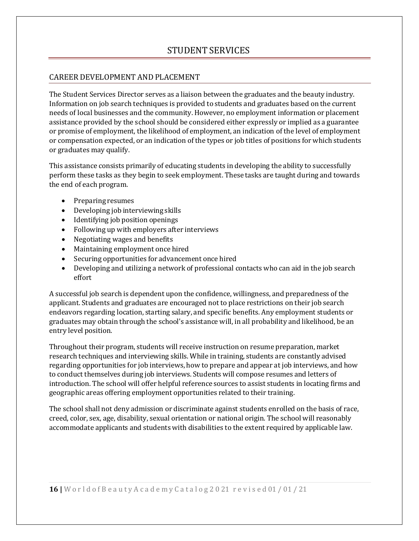### STUDENT SERVICES

#### <span id="page-15-1"></span><span id="page-15-0"></span>CAREER DEVELOPMENT AND PLACEMENT

The Student Services Director serves as a liaison between the graduates and the beauty industry. Information on job search techniques is provided to students and graduates based on the current needs of local businesses and the community. However, no employment information or placement assistance provided by the school should be considered either expressly or implied as a guarantee or promise of employment, the likelihood of employment, an indication of the level of employment or compensation expected, or an indication of the types or job titles of positions for which students or graduates may qualify.

This assistance consists primarily of educating students in developing the ability to successfully perform these tasks as they begin to seek employment. These tasks are taught during and towards the end of each program.

- Preparing resumes
- Developing job interviewing skills
- Identifying job position openings
- Following up with employers after interviews
- Negotiating wages and benefits
- Maintaining employment once hired
- Securing opportunities for advancement once hired
- Developing and utilizing a network of professional contacts who can aid in the job search effort

A successful job search is dependent upon the confidence, willingness, and preparedness of the applicant. Students and graduates are encouraged not to place restrictions on their job search endeavors regarding location, starting salary, and specific benefits. Any employment students or graduates may obtain through the school's assistance will, in all probability and likelihood, be an entry level position.

Throughout their program, students will receive instruction on resume preparation, market research techniques and interviewing skills. While in training, students are constantly advised regarding opportunities for job interviews, how to prepare and appear at job interviews, and how to conduct themselves during job interviews. Students will compose resumes and letters of introduction. The school will offer helpful reference sources to assist students in locating firms and geographic areas offering employment opportunities related to their training.

The school shall not deny admission or discriminate against students enrolled on the basis of race, creed, color, sex, age, disability, sexual orientation or national origin. The school will reasonably accommodate applicants and students with disabilities to the extent required by applicable law.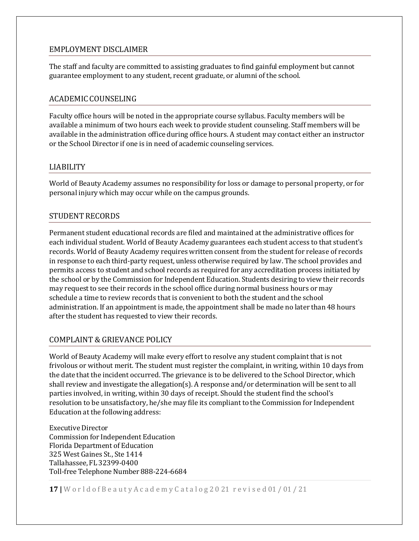#### <span id="page-16-0"></span>EMPLOYMENT DISCLAIMER

The staff and faculty are committed to assisting graduates to find gainful employment but cannot guarantee employment to any student, recent graduate, or alumni of the school.

#### <span id="page-16-1"></span>ACADEMIC COUNSELING

Faculty office hours will be noted in the appropriate course syllabus. Faculty members will be available a minimum of two hours each week to provide student counseling. Staff members will be available in the administration office during office hours. A student may contact either an instructor or the School Director if one is in need of academic counseling services.

#### <span id="page-16-2"></span>LIABILITY

World of Beauty Academy assumes no responsibility for loss or damage to personal property, or for personal injury which may occur while on the campus grounds.

#### <span id="page-16-3"></span>STUDENT RECORDS

Permanent student educational records are filed and maintained at the administrative offices for each individual student. World of Beauty Academy guarantees each student access to that student's records. World of Beauty Academy requires written consent from the student for release of records in response to each third-party request, unless otherwise required by law. The school provides and permits access to student and school records as required for any accreditation process initiated by the school or by the Commission for Independent Education. Students desiring to view their records may request to see their records in the school office during normal business hours or may schedule a time to review records that is convenient to both the student and the school administration. If an appointment is made, the appointment shall be made no later than 48 hours after the student has requested to view their records.

#### <span id="page-16-4"></span>COMPLAINT & GRIEVANCE POLICY

World of Beauty Academy will make every effort to resolve any student complaint that is not frivolous or without merit. The student must register the complaint, in writing, within 10 days from the date that the incident occurred. The grievance is to be delivered to the School Director, which shall review and investigate the allegation(s). A response and/or determination will be sent to all parties involved, in writing, within 30 days of receipt. Should the student find the school's resolution to be unsatisfactory, he/she may file its compliant to the Commission for Independent Education at the following address:

Executive Director Commission for Independent Education Florida Department of Education 325 West Gaines St., Ste 1414 Tallahassee, FL 32399-0400 Toll-free Telephone Number 888-224-6684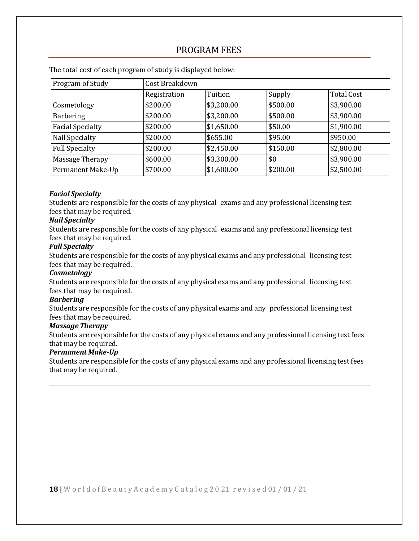### PROGRAM FEES

| Program of Study        | Cost Breakdown |            |          |                   |
|-------------------------|----------------|------------|----------|-------------------|
|                         | Registration   | Tuition    | Supply   | <b>Total Cost</b> |
| Cosmetology             | \$200.00       | \$3,200.00 | \$500.00 | \$3,900.00        |
| Barbering               | \$200.00       | \$3,200.00 | \$500.00 | \$3,900.00        |
| <b>Facial Specialty</b> | \$200.00       | \$1,650.00 | \$50.00  | \$1,900.00        |
| Nail Specialty          | \$200.00       | \$655.00   | \$95.00  | \$950.00          |
| <b>Full Specialty</b>   | \$200.00       | \$2,450.00 | \$150.00 | \$2,800.00        |
| Massage Therapy         | \$600.00       | \$3,300.00 | \$0      | \$3,900.00        |
| Permanent Make-Up       | \$700.00       | \$1,600.00 | \$200.00 | \$2,500.00        |

<span id="page-17-0"></span>The total cost of each program of study is displayed below:

#### *Facial Specialty*

Students are responsible for the costs of any physical exams and any professional licensing test fees that may be required.

#### *Nail Specialty*

Students are responsible for the costs of any physical exams and any professional licensing test fees that may be required.

#### *Full Specialty*

Students are responsible for the costs of any physical exams and any professional licensing test fees that may be required.

#### *Cosmetology*

Students are responsible for the costs of any physical exams and any professional licensing test fees that may be required.

#### *Barbering*

Students are responsible for the costs of any physical exams and any professional licensing test fees that may be required.

#### *Massage Therapy*

Students are responsible for the costs of any physical exams and any professional licensing test fees that may be required.

#### *Permanent Make-Up*

Students are responsible for the costs of any physical exams and any professional licensing test fees that may be required.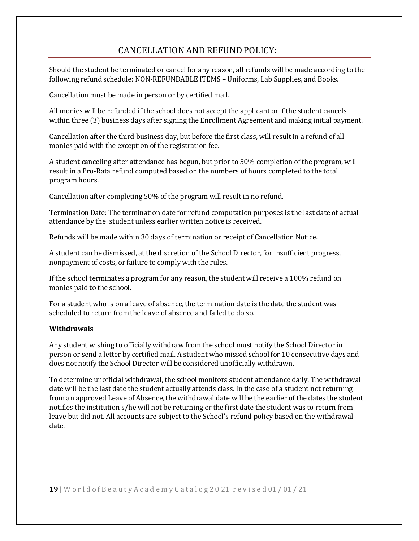### CANCELLATION ANDREFUNDPOLICY:

<span id="page-18-0"></span>Should the student be terminated or cancel for any reason, all refunds will be made according to the following refund schedule: NON-REFUNDABLE ITEMS – Uniforms, Lab Supplies, and Books.

Cancellation must be made in person or by certified mail.

All monies will be refunded if the school does not accept the applicant or if the student cancels within three (3) business days after signing the Enrollment Agreement and making initial payment.

Cancellation after the third business day, but before the first class, will result in a refund of all monies paid with the exception of the registration fee.

A student canceling after attendance has begun, but prior to 50% completion of the program, will result in a Pro-Rata refund computed based on the numbers of hours completed to the total program hours.

Cancellation after completing 50% of the program will result in no refund.

Termination Date: The termination date for refund computation purposes is the last date of actual attendance by the student unless earlier written notice is received.

Refunds will be made within 30 days of termination or receipt of Cancellation Notice.

A student can be dismissed, at the discretion of the School Director, for insufficient progress, nonpayment of costs, or failure to comply with the rules.

If the school terminates a program for any reason, the student will receive a 100% refund on monies paid to the school.

For a student who is on a leave of absence, the termination date is the date the student was scheduled to return from the leave of absence and failed to do so.

#### **Withdrawals**

Any student wishing to officially withdraw from the school must notify the School Director in person or send a letter by certified mail. A student who missed school for 10 consecutive days and does not notify the School Director will be considered unofficially withdrawn.

To determine unofficial withdrawal, the school monitors student attendance daily. The withdrawal date will be the last date the student actually attends class. In the case of a student not returning from an approved Leave of Absence, the withdrawal date will be the earlier of the dates the student notifies the institution s/he will not be returning or the first date the student was to return from leave but did not. All accounts are subject to the School's refund policy based on the withdrawal date.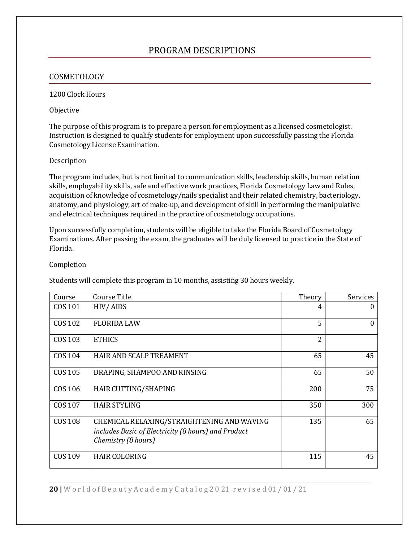### PROGRAM DESCRIPTIONS

#### <span id="page-19-1"></span><span id="page-19-0"></span>COSMETOLOGY

#### 1200 Clock Hours

#### Objective

The purpose of this program is to prepare a person for employment as a licensed cosmetologist. Instruction is designed to qualify students for employment upon successfully passing the Florida Cosmetology License Examination.

#### Description

The program includes, but is not limited to communication skills, leadership skills, human relation skills, employability skills, safe and effective work practices, Florida Cosmetology Law and Rules, acquisition of knowledge of cosmetology/nails specialist and their related chemistry, bacteriology, anatomy, and physiology, art of make-up, and development of skill in performing the manipulative and electrical techniques required in the practice of cosmetology occupations.

Upon successfully completion, students will be eligible to take the Florida Board of Cosmetology Examinations. After passing the exam, the graduates will be duly licensed to practice in the State of Florida.

#### Completion

Students will complete this program in 10 months, assisting 30 hours weekly.

| Course         | Course Title                                                                                                             | Theory                   | Services |
|----------------|--------------------------------------------------------------------------------------------------------------------------|--------------------------|----------|
| COS 101        | HIV/AIDS                                                                                                                 | 4                        | $\theta$ |
| <b>COS 102</b> | <b>FLORIDA LAW</b>                                                                                                       | 5                        | 0        |
| COS 103        | <b>ETHICS</b>                                                                                                            | $\overline{\mathcal{L}}$ |          |
| COS 104        | HAIR AND SCALP TREAMENT                                                                                                  | 65                       | 45       |
| COS 105        | DRAPING, SHAMPOO AND RINSING                                                                                             | 65                       | 50       |
| COS 106        | HAIR CUTTING/SHAPING                                                                                                     | 200                      | 75       |
| COS 107        | <b>HAIR STYLING</b>                                                                                                      | 350                      | 300      |
| <b>COS 108</b> | CHEMICAL RELAXING/STRAIGHTENING AND WAVING<br>includes Basic of Electricity (8 hours) and Product<br>Chemistry (8 hours) | 135                      | 65       |
| COS 109        | <b>HAIR COLORING</b>                                                                                                     | 115                      | 45       |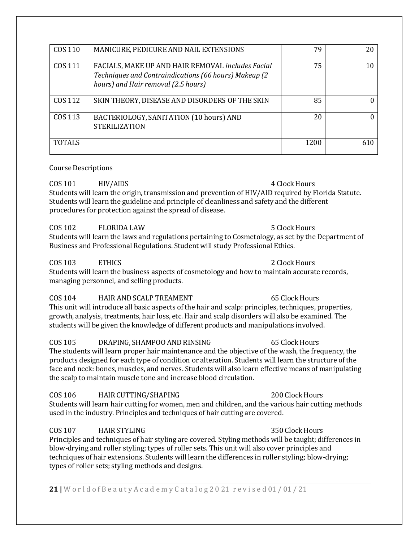| COS 110       | MANICURE, PEDICURE AND NAIL EXTENSIONS                                                                                                            | 79   | 20       |
|---------------|---------------------------------------------------------------------------------------------------------------------------------------------------|------|----------|
| COS 111       | FACIALS, MAKE UP AND HAIR REMOVAL includes Facial<br>Techniques and Contraindications (66 hours) Makeup (2<br>hours) and Hair removal (2.5 hours) | 75   | 10       |
| COS 112       | SKIN THEORY, DISEASE AND DISORDERS OF THE SKIN                                                                                                    | 85   | $\theta$ |
| COS 113       | BACTERIOLOGY, SANITATION (10 hours) AND<br><b>STERILIZATION</b>                                                                                   | 20   | 0        |
| <b>TOTALS</b> |                                                                                                                                                   | 1200 | 610      |

#### Course Descriptions

COS 101 HIV/AIDS 4 Clock Hours Students will learn the origin, transmission and prevention of HIV/AID required by Florida Statute.  $\,$ Students will learn the guideline and principle of cleanliness and safety and the different procedures for protection against the spread of disease.

COS 102 FLORIDA LAW 5 Clock Hours Students will learn the laws and regulations pertaining to Cosmetology, as set by the Department of Business and Professional Regulations. Student will study Professional Ethics.

### COS 103 ETHICS 2 Clock Hours

Students will learn the business aspects of cosmetology and how to maintain accurate records, managing personnel, and selling products.

#### COS 104 HAIR AND SCALP TREAMENT 65 Clock Hours

This unit will introduce all basic aspects of the hair and scalp: principles, techniques, properties, growth, analysis, treatments, hair loss, etc. Hair and scalp disorders will also be examined. The students will be given the knowledge of different products and manipulations involved.

#### COS 105 DRAPING, SHAMPOO AND RINSING 65 Clock Hours

The students will learn proper hair maintenance and the objective of the wash, the frequency, the products designed for each type of condition or alteration. Students will learn the structure of the face and neck: bones, muscles, and nerves. Students will also learn effective means of manipulating the scalp to maintain muscle tone and increase blood circulation.

#### COS 106 HAIRCUTTING/SHAPING 200 ClockHours

Students will learn hair cutting for women, men and children, and the various hair cutting methods used in the industry. Principles and techniques of hair cutting are covered.

### COS 107 HAIR STYLING 250 Clock Hours

Principles and techniques of hair styling are covered. Styling methods will be taught; differences in blow-drying and roller styling; types of roller sets. This unit will also cover principles and techniques of hair extensions. Students will learn the differences in roller styling; blow-drying; types of roller sets; styling methods and designs.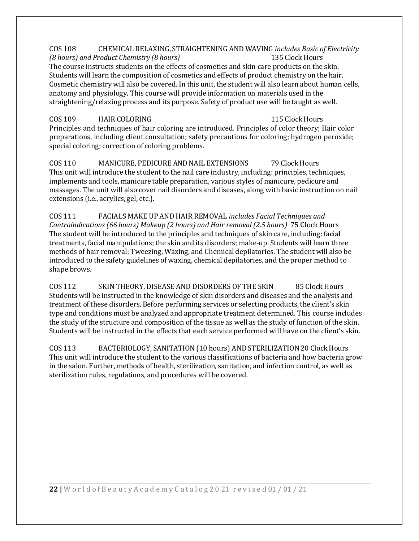#### COS 108 CHEMICAL RELAXING, STRAIGHTENING AND WAVING *includes Basic of Electricity (8 hours) and Product Chemistry (8 hours)* The course instructs students on the effects of cosmetics and skin care products on the skin. Students will learn the composition of cosmetics and effects of product chemistry on the hair. Cosmetic chemistry will also be covered. In this unit, the student will also learn about human cells, anatomy and physiology. This course will provide information on materials used in the straightening/relaxing process and its purpose. Safety of product use will be taught as well.

#### COS 109 HAIR COLORING 115 Clock Hours Principles and techniques of hair coloring are introduced. Principles of color theory; Hair color preparations, including client consultation; safety precautions for coloring; hydrogen peroxide; special coloring; correction of coloring problems.

COS 110 MANICURE, PEDICURE AND NAIL EXTENSIONS 79 Clock Hours This unit will introduce the student to the nail care industry, including: principles, techniques, implements and tools, manicure table preparation, various styles of manicure, pedicure and massages. The unit will also cover nail disorders and diseases, along with basic instruction on nail extensions (i.e., acrylics, gel, etc.).

COS 111 FACIALS MAKE UP ANDHAIR REMOVAL *includes Facial Techniques and Contraindications (66 hours) Makeup (2 hours) and Hair removal (2.5 hours)* 75 Clock Hours The student will be introduced to the principles and techniques of skin care, including: facial treatments, facial manipulations; the skin and its disorders; make-up. Students will learn three methods of hair removal: Tweezing, Waxing, and Chemical depilatories. The student will also be introduced to the safety guidelines of waxing, chemical depilatories, and the proper method to shape brows.

COS 112 SKIN THEORY, DISEASE AND DISORDERS OF THE SKIN 85 Clock Hours Students will be instructed in the knowledge of skin disorders and diseases and the analysis and treatment of these disorders. Before performing services or selecting products, the client's skin type and conditions must be analyzed and appropriate treatment determined. This course includes the study of the structure and composition of the tissue as well as the study of function of the skin. Students will be instructed in the effects that each service performed will have on the client's skin.

COS 113 BACTERIOLOGY, SANITATION(10 hours) ANDSTERILIZATION20 ClockHours This unit will introduce the student to the various classifications of bacteria and how bacteria grow in the salon. Further, methods of health, sterilization, sanitation, and infection control, as well as sterilization rules, regulations, and procedures will be covered.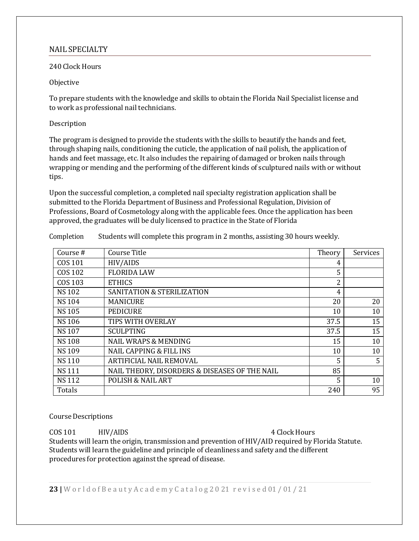#### <span id="page-22-0"></span>NAIL SPECIALTY

#### 240 Clock Hours

#### Objective

To prepare students with the knowledge and skills to obtain the Florida Nail Specialist license and to work as professional nail technicians.

#### Description

The program is designed to provide the students with the skills to beautify the hands and feet, through shaping nails, conditioning the cuticle, the application of nail polish, the application of hands and feet massage, etc. It also includes the repairing of damaged or broken nails through wrapping or mending and the performing of the different kinds of sculptured nails with or without tips.

Upon the successful completion, a completed nail specialty registration application shall be submitted to the Florida Department of Business and Professional Regulation, Division of Professions, Board of Cosmetology along with the applicable fees. Once the application has been approved, the graduates will be duly licensed to practice in the State of Florida

| Course#        | Course Title                                  | Theory         | Services |
|----------------|-----------------------------------------------|----------------|----------|
| COS 101        | HIV/AIDS                                      | 4              |          |
| <b>COS 102</b> | <b>FLORIDA LAW</b>                            | 5              |          |
| COS 103        | <b>ETHICS</b>                                 | $\overline{2}$ |          |
| <b>NS102</b>   | <b>SANITATION &amp; STERILIZATION</b>         | 4              |          |
| <b>NS104</b>   | <b>MANICURE</b>                               | 20             | 20       |
| <b>NS105</b>   | <b>PEDICURE</b>                               | 10             | 10       |
| <b>NS106</b>   | TIPS WITH OVERLAY                             | 37.5           | 15       |
| <b>NS107</b>   | <b>SCULPTING</b>                              | 37.5           | 15       |
| <b>NS108</b>   | <b>NAIL WRAPS &amp; MENDING</b>               | 15             | 10       |
| <b>NS109</b>   | <b>NAIL CAPPING &amp; FILL INS</b>            | 10             | 10       |
| <b>NS110</b>   | ARTIFICIAL NAIL REMOVAL                       | 5              | 5        |
| <b>NS111</b>   | NAIL THEORY, DISORDERS & DISEASES OF THE NAIL | 85             |          |
| <b>NS112</b>   | <b>POLISH &amp; NAIL ART</b>                  | 5              | 10       |
| Totals         |                                               | 240            | 95       |

Completion Students will complete this program in 2 months, assisting 30 hours weekly.

#### **Course Descriptions**

COS 101 HIV/AIDS 4 Clock Hours Students will learn the origin, transmission and prevention of HIV/AID required by Florida Statute. Students will learn the guideline and principle of cleanliness and safety and the different procedures for protection against the spread of disease.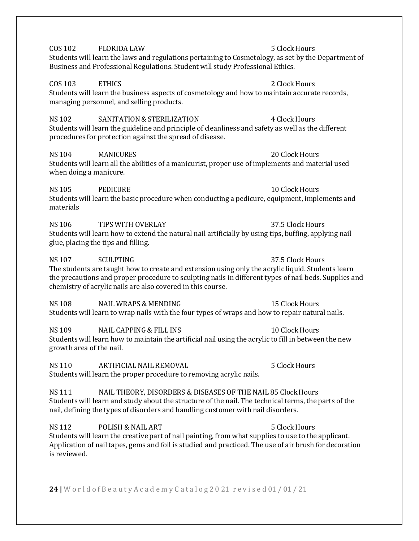|                                          | Students will learn the laws and regulations pertaining to Cosmetology, as set by the Department of<br>Business and Professional Regulations. Student will study Professional Ethics.                                                                                                         |                  |
|------------------------------------------|-----------------------------------------------------------------------------------------------------------------------------------------------------------------------------------------------------------------------------------------------------------------------------------------------|------------------|
| <b>COS 103</b>                           | <b>ETHICS</b><br>Students will learn the business aspects of cosmetology and how to maintain accurate records,<br>managing personnel, and selling products.                                                                                                                                   | 2 Clock Hours    |
| <b>NS102</b>                             | <b>SANITATION &amp; STERILIZATION</b><br>Students will learn the guideline and principle of cleanliness and safety as well as the different<br>procedures for protection against the spread of disease.                                                                                       | 4 Clock Hours    |
| <b>NS104</b><br>when doing a manicure.   | <b>MANICURES</b><br>Students will learn all the abilities of a manicurist, proper use of implements and material used                                                                                                                                                                         | 20 Clock Hours   |
| <b>NS105</b><br>materials                | <b>PEDICURE</b><br>Students will learn the basic procedure when conducting a pedicure, equipment, implements and                                                                                                                                                                              | 10 Clock Hours   |
| <b>NS106</b>                             | TIPS WITH OVERLAY<br>Students will learn how to extend the natural nail artificially by using tips, buffing, applying nail<br>glue, placing the tips and filling.                                                                                                                             | 37.5 Clock Hours |
| <b>NS107</b>                             | <b>SCULPTING</b><br>The students are taught how to create and extension using only the acrylic liquid. Students learn<br>the precautions and proper procedure to sculpting nails in different types of nail beds. Supplies and<br>chemistry of acrylic nails are also covered in this course. | 37.5 Clock Hours |
| <b>NS108</b>                             | <b>NAIL WRAPS &amp; MENDING</b><br>Students will learn to wrap nails with the four types of wraps and how to repair natural nails.                                                                                                                                                            | 15 Clock Hours   |
| <b>NS109</b><br>growth area of the nail. | <b>NAIL CAPPING &amp; FILL INS</b><br>Students will learn how to maintain the artificial nail using the acrylic to fill in between the new                                                                                                                                                    | 10 Clock Hours   |
| <b>NS110</b>                             | ARTIFICIAL NAIL REMOVAL<br>Students will learn the proper procedure to removing acrylic nails.                                                                                                                                                                                                | 5 Clock Hours    |

COS 102 FLORIDA LAW 5 Clock Hours

NS 111 NAIL THEORY, DISORDERS & DISEASES OF THE NAIL 85 ClockHours Students will learn and study about the structure of the nail. The technical terms, the parts of the nail, defining the types of disorders and handling customer with nail disorders.

NS 112 POLISH & NAIL ART 5 Clock Hours Students will learn the creative part of nail painting, from what supplies to use to the applicant. Application of nail tapes, gems and foil is studied and practiced. The use of air brush for decoration is reviewed.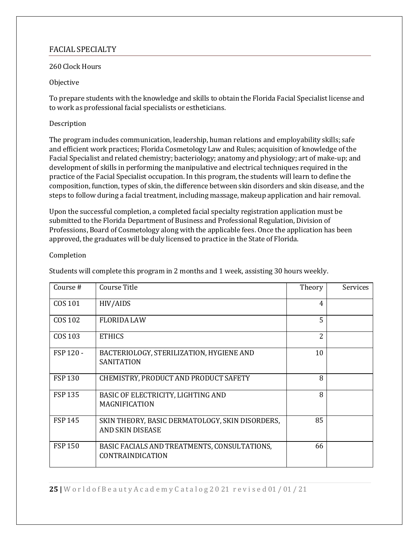### <span id="page-24-0"></span>FACIAL SPECIALTY

#### 260 Clock Hours

#### Objective

To prepare students with the knowledge and skills to obtain the Florida Facial Specialist license and to work as professional facial specialists or estheticians.

#### Description

The program includes communication, leadership, human relations and employability skills; safe and efficient work practices; Florida Cosmetology Law and Rules; acquisition of knowledge of the Facial Specialist and related chemistry; bacteriology; anatomy and physiology; art of make-up; and development of skills in performing the manipulative and electrical techniques required in the practice of the Facial Specialist occupation. In this program, the students will learn to define the composition, function, types of skin, the difference between skin disorders and skin disease, and the steps to follow during a facial treatment, including massage, makeup application and hair removal.

Upon the successful completion, a completed facial specialty registration application must be submitted to the Florida Department of Business and Professional Regulation, Division of Professions, Board of Cosmetology along with the applicable fees. Once the application has been approved, the graduates will be duly licensed to practice in the State of Florida.

#### Completion

Students will complete this program in 2 months and 1 week, assisting 30 hours weekly.

| Course#        | Course Title                                                               | Theory         | Services |
|----------------|----------------------------------------------------------------------------|----------------|----------|
| COS 101        | HIV/AIDS                                                                   | $\overline{4}$ |          |
| COS 102        | <b>FLORIDA LAW</b>                                                         | 5              |          |
| COS 103        | <b>ETHICS</b>                                                              | $\overline{2}$ |          |
| FSP 120 -      | BACTERIOLOGY, STERILIZATION, HYGIENE AND<br><b>SANITATION</b>              | 10             |          |
| <b>FSP130</b>  | CHEMISTRY, PRODUCT AND PRODUCT SAFETY                                      | 8              |          |
| <b>FSP135</b>  | BASIC OF ELECTRICITY, LIGHTING AND<br><b>MAGNIFICATION</b>                 | 8              |          |
| <b>FSP 145</b> | SKIN THEORY, BASIC DERMATOLOGY, SKIN DISORDERS,<br><b>AND SKIN DISEASE</b> | 85             |          |
| <b>FSP 150</b> | BASIC FACIALS AND TREATMENTS, CONSULTATIONS,<br><b>CONTRAINDICATION</b>    | 66             |          |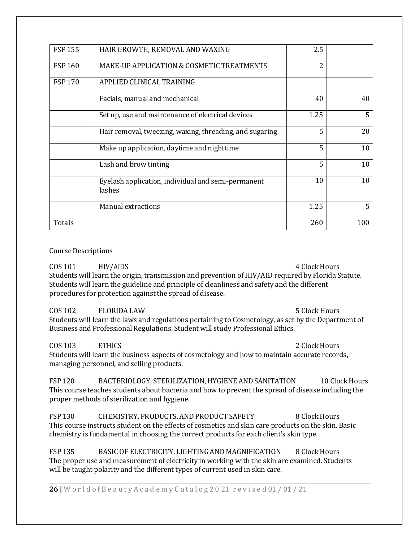| <b>FSP155</b> | HAIR GROWTH, REMOVAL AND WAXING                              | 2.5  |     |
|---------------|--------------------------------------------------------------|------|-----|
| <b>FSP160</b> | MAKE-UP APPLICATION & COSMETIC TREATMENTS                    | 2    |     |
| <b>FSP170</b> | APPLIED CLINICAL TRAINING                                    |      |     |
|               | Facials, manual and mechanical                               | 40   | 40  |
|               | Set up, use and maintenance of electrical devices            | 1.25 | 5   |
|               | Hair removal, tweezing, waxing, threading, and sugaring      | 5    | 20  |
|               | Make up application, daytime and nighttime                   | 5    | 10  |
|               | Lash and brow tinting                                        | 5    | 10  |
|               | Eyelash application, individual and semi-permanent<br>lashes | 10   | 10  |
|               | Manual extractions                                           | 1.25 | 5   |
| Totals        |                                                              | 260  | 100 |

#### **Course Descriptions**

COS 101 HIV/AIDS 4 Clock Hours Students will learn the origin, transmission and prevention of HIV/AID required by Florida Statute.  $\,$ Students will learn the guideline and principle of cleanliness and safety and the different procedures for protection against the spread of disease.

COS 102 FLORIDA LAW 5 Clock Hours Students will learn the laws and regulations pertaining to Cosmetology, as set by the Department of Business and Professional Regulations. Student will study Professional Ethics.

COS 103 ETHICS 2 ClockHours Students will learn the business aspects of cosmetology and how to maintain accurate records, managing personnel, and selling products.

FSP 120 BACTERIOLOGY, STERILIZATION, HYGIENE AND SANITATION 10 Clock Hours This course teaches students about bacteria and how to prevent the spread of disease including the proper methods of sterilization and hygiene.

FSP 130 CHEMISTRY, PRODUCTS, AND PRODUCT SAFETY 8 Clock Hours This course instructs student on the effects of cosmetics and skin care products on the skin. Basic chemistry is fundamental in choosing the correct products for each client's skin type.

FSP 135 BASIC OF ELECTRICITY, LIGHTING AND MAGNIFICATION 8 Clock Hours The proper use and measurement of electricity in working with the skin are examined. Students will be taught polarity and the different types of current used in skin care.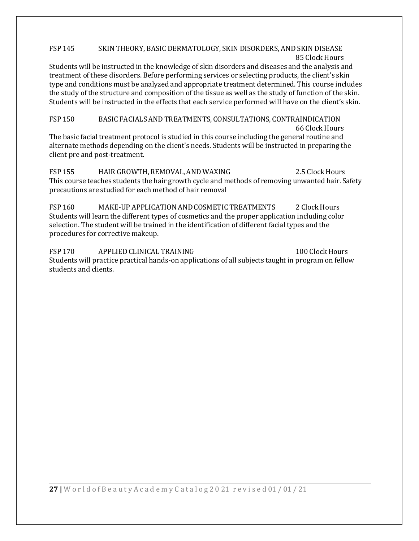#### FSP 145 SKIN THEORY, BASIC DERMATOLOGY, SKIN DISORDERS, AND SKIN DISEASE 85 Clock Hours

Students will be instructed in the knowledge of skin disorders and diseases and the analysis and treatment of these disorders. Before performing services or selecting products, the client's skin type and conditions must be analyzed and appropriate treatment determined. This course includes the study of the structure and composition of the tissue as well as the study of function of the skin. Students will be instructed in the effects that each service performed will have on the client's skin.

FSP 150 BASIC FACIALSANDTREATMENTS, CONSULTATIONS, CONTRAINDICATION 66 Clock Hours The basic facial treatment protocol is studied in this course including the general routine and alternate methods depending on the client's needs. Students will be instructed in preparing the client pre and post-treatment.

FSP 155 HAIR GROWTH, REMOVAL, AND WAXING 2.5 Clock Hours This course teaches students the hair growth cycle and methods of removing unwanted hair. Safety precautions are studied for each method of hair removal

FSP 160 MAKE-UP APPLICATION AND COSMETIC TREATMENTS 2 Clock Hours Students will learn the different types of cosmetics and the proper application including color selection. The student will be trained in the identification of different facial types and the procedures for corrective makeup.

FSP 170 APPLIED CLINICAL TRAINING 100 Clock Hours Students will practice practical hands-on applications of all subjects taught in program on fellow students and clients.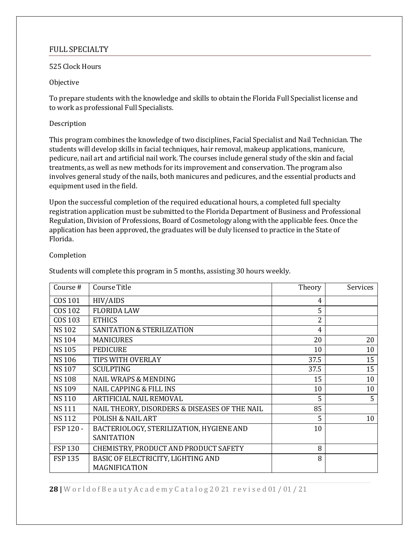#### <span id="page-27-0"></span>FULL SPECIALTY

#### 525 Clock Hours

#### Objective

To prepare students with the knowledge and skills to obtain the Florida Full Specialist license and to work as professional Full Specialists.

#### Description

This program combines the knowledge of two disciplines, Facial Specialist and Nail Technician. The students will develop skills in facial techniques, hair removal, makeup applications, manicure, pedicure, nail art and artificial nail work. The courses include general study of the skin and facial treatments, as well as new methods for its improvement and conservation. The program also involves general study of the nails, both manicures and pedicures, and the essential products and equipment used in the field.

Upon the successful completion of the required educational hours, a completed full specialty registration application must be submitted to the Florida Department of Business and Professional Regulation, Division of Professions, Board of Cosmetology along with the applicable fees. Once the application has been approved, the graduates will be duly licensed to practice in the State of Florida.

#### Completion

Students will complete this program in 5 months, assisting 30 hours weekly.

| Course#       | Course Title                                  | Theory | Services |
|---------------|-----------------------------------------------|--------|----------|
| COS 101       | HIV/AIDS                                      | 4      |          |
| COS 102       | <b>FLORIDA LAW</b>                            | 5      |          |
| COS 103       | <b>ETHICS</b>                                 | 2      |          |
| <b>NS102</b>  | <b>SANITATION &amp; STERILIZATION</b>         | 4      |          |
| <b>NS104</b>  | <b>MANICURES</b>                              | 20     | 20       |
| <b>NS105</b>  | <b>PEDICURE</b>                               | 10     | 10       |
| <b>NS106</b>  | TIPS WITH OVERLAY                             | 37.5   | 15       |
| <b>NS107</b>  | <b>SCULPTING</b>                              | 37.5   | 15       |
| <b>NS108</b>  | <b>NAIL WRAPS &amp; MENDING</b>               | 15     | 10       |
| <b>NS109</b>  | <b>NAIL CAPPING &amp; FILL INS</b>            | 10     | 10       |
| <b>NS110</b>  | ARTIFICIAL NAIL REMOVAL                       | 5      | 5        |
| <b>NS111</b>  | NAIL THEORY, DISORDERS & DISEASES OF THE NAIL | 85     |          |
| <b>NS112</b>  | <b>POLISH &amp; NAIL ART</b>                  | 5      | 10       |
| FSP 120 -     | BACTERIOLOGY, STERILIZATION, HYGIENE AND      | 10     |          |
|               | <b>SANITATION</b>                             |        |          |
| <b>FSP130</b> | CHEMISTRY, PRODUCT AND PRODUCT SAFETY         | 8      |          |
| <b>FSP135</b> | BASIC OF ELECTRICITY, LIGHTING AND            | 8      |          |
|               | MAGNIFICATION                                 |        |          |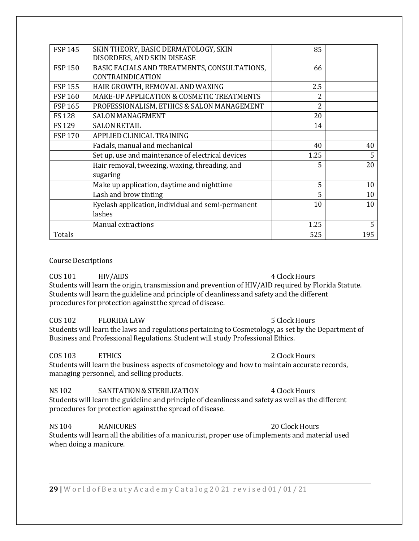| <b>FSP 145</b> | SKIN THEORY, BASIC DERMATOLOGY, SKIN<br>DISORDERS, AND SKIN DISEASE | 85                       |     |
|----------------|---------------------------------------------------------------------|--------------------------|-----|
| <b>FSP 150</b> | BASIC FACIALS AND TREATMENTS, CONSULTATIONS,<br>CONTRAINDICATION    | 66                       |     |
| <b>FSP 155</b> | HAIR GROWTH, REMOVAL AND WAXING                                     | 2.5                      |     |
| <b>FSP160</b>  | MAKE-UP APPLICATION & COSMETIC TREATMENTS                           |                          |     |
| <b>FSP 165</b> | PROFESSIONALISM, ETHICS & SALON MANAGEMENT                          | $\overline{\mathcal{L}}$ |     |
| <b>FS128</b>   | <b>SALON MANAGEMENT</b>                                             | 20                       |     |
| FS 129         | <b>SALON RETAIL</b>                                                 | 14                       |     |
| <b>FSP170</b>  | APPLIED CLINICAL TRAINING                                           |                          |     |
|                | Facials, manual and mechanical                                      | 40                       | 40  |
|                | Set up, use and maintenance of electrical devices                   | 1.25                     | 5   |
|                | Hair removal, tweezing, waxing, threading, and<br>sugaring          | 5                        | 20  |
|                | Make up application, daytime and nighttime                          | 5                        | 10  |
|                | Lash and brow tinting                                               | 5                        | 10  |
|                | Eyelash application, individual and semi-permanent                  | 10                       | 10  |
|                | lashes                                                              |                          |     |
|                | Manual extractions                                                  | 1.25                     | 5   |
| Totals         |                                                                     | 525                      | 195 |

#### **Course Descriptions**

COS 101 HIV/AIDS 4 Clock Hours Students will learn the origin, transmission and prevention of  $\rm{HIV/AlD}$  required by Florida Statute. Students will learn the guideline and principle of cleanliness and safety and the different procedures for protection against the spread of disease.

### COS 102 FLORIDA LAW 5 Clock Hours

Students will learn the laws and regulations pertaining to Cosmetology, as set by the Department of Business and Professional Regulations. Student will study Professional Ethics.

COS 103 ETHICS 2 Clock Hours Students will learn the business aspects of cosmetology and how to maintain accurate records, managing personnel, and selling products.

#### NS 102 SANITATION & STERILIZATION 4 Clock Hours

Students will learn the guideline and principle of cleanliness and safety as well as the different procedures for protection against the spread of disease.

NS 104 MANICURES 20 Clock Hours Students will learn all the abilities of a manicurist, proper use of implements and material used when doing a manicure.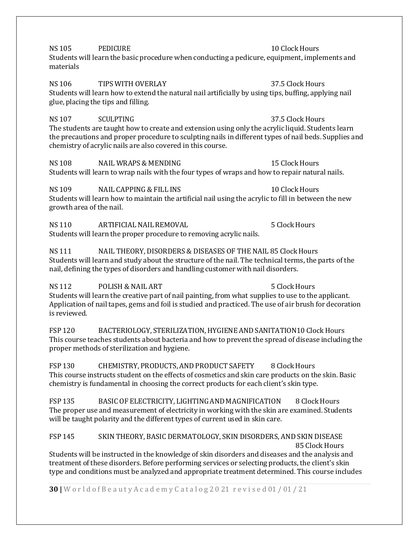NS 105 PEDICURE 2002 PEDICURE 10 Clock Hours Students will learn the basic procedure when conducting a pedicure, equipment, implements and materials

NS 106 TIPS WITH OVERLAY 37.5 ClockHours Students will learn how to extend the natural nail artificially by using tips, buffing, applying nail glue, placing the tips and filling.

NS 107 SCULPTING 37.5 Clock Hours The students are taught how to create and extension using only the acrylic liquid. Students learn the precautions and proper procedure to sculpting nails in different types of nail beds. Supplies and chemistry of acrylic nails are also covered in this course.

NS 108 NAIL WRAPS & MENDING 15 Clock Hours Students will learn to wrap nails with the four types of wraps and how to repair natural nails.

NS 109 NAIL CAPPING & FILL INS 10 ClockHours Students will learn how to maintain the artificial nail using the acrylic to fill in between the new growth area of the nail.

NS 110 ARTIFICIAL NAIL REMOVAL 5 ClockHours Students will learn the proper procedure to removing acrylic nails.

NS 111 NAIL THEORY, DISORDERS & DISEASES OF THE NAIL 85 ClockHours Students will learn and study about the structure of the nail. The technical terms, the parts of the nail, defining the types of disorders and handling customer with nail disorders.

NS 112 POLISH & NAIL ART 5 ClockHours Students will learn the creative part of nail painting, from what supplies to use to the applicant. Application of nail tapes, gems and foil is studied and practiced. The use of air brush for decoration is reviewed.

FSP 120 BACTERIOLOGY, STERILIZATION, HYGIENE AND SANITATION10 Clock Hours This course teaches students about bacteria and how to prevent the spread of disease including the proper methods of sterilization and hygiene.

FSP 130 CHEMISTRY, PRODUCTS, AND PRODUCT SAFETY 8 Clock Hours This course instructs student on the effects of cosmetics and skin care products on the skin. Basic chemistry is fundamental in choosing the correct products for each client's skin type.

FSP 135 BASIC OF ELECTRICITY, LIGHTING AND MAGNIFICATION 8 Clock Hours The proper use and measurement of electricity in working with the skin are examined. Students will be taught polarity and the different types of current used in skin care.

#### FSP 145 SKIN THEORY, BASIC DERMATOLOGY, SKIN DISORDERS, AND SKIN DISEASE 85 Clock Hours

Students will be instructed in the knowledge of skin disorders and diseases and the analysis and treatment of these disorders. Before performing services or selecting products, the client's skin type and conditions must be analyzed and appropriate treatment determined. This course includes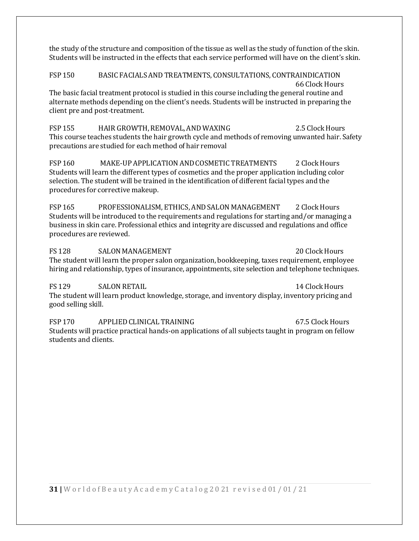the study of the structure and composition of the tissue as well as the study of function of the skin. Students will be instructed in the effects that each service performed will have on the client's skin.

FSP 150 BASIC FACIALSANDTREATMENTS, CONSULTATIONS, CONTRAINDICATION 66 Clock Hours The basic facial treatment protocol is studied in this course including the general routine and alternate methods depending on the client's needs. Students will be instructed in preparing the client pre and post-treatment.

FSP 155 HAIR GROWTH, REMOVAL, AND WAXING 2.5 Clock Hours This course teaches students the hair growth cycle and methods of removing unwanted hair. Safety precautions are studied for each method of hair removal

FSP 160 MAKE-UP APPLICATION AND COSMETIC TREATMENTS 2 Clock Hours Students will learn the different types of cosmetics and the proper application including color selection. The student will be trained in the identification of different facial types and the procedures for corrective makeup.

FSP 165 PROFESSIONALISM, ETHICS, AND SALON MANAGEMENT 2 Clock Hours Students will be introduced to the requirements and regulations for starting and/or managing a business in skin care. Professional ethics and integrity are discussed and regulations and office procedures are reviewed.

FS 128 SALON MANAGEMENT 20 Clock Hours The student will learn the proper salon organization, bookkeeping, taxes requirement, employee hiring and relationship, types of insurance, appointments, site selection and telephone techniques.

FS 129 SALON RETAIL 2008 14 Clock Hours The student will learn product knowledge, storage, and inventory display, inventory pricing and good selling skill.

FSP 170 APPLIED CLINICAL TRAINING 67.5 Clock Hours Students will practice practical hands-on applications of all subjects taught in program on fellow students and clients.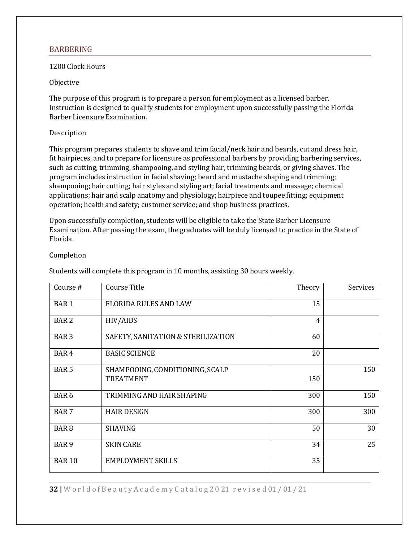#### <span id="page-31-0"></span>**BARBERING**

#### 1200 Clock Hours

#### Objective

The purpose of this program is to prepare a person for employment as a licensed barber. Instruction is designed to qualify students for employment upon successfully passing the Florida Barber Licensure Examination.

#### Description

This program prepares students to shave and trim facial/neck hair and beards, cut and dress hair, fit hairpieces, and to prepare for licensure as professional barbers by providing barbering services, such as cutting, trimming, shampooing, and styling hair, trimming beards, or giving shaves. The program includes instruction in facial shaving; beard and mustache shaping and trimming; shampooing; hair cutting; hair styles and styling art; facial treatments and massage; chemical applications; hair and scalp anatomy and physiology; hairpiece and toupee fitting; equipment operation; health and safety; customer service; and shop business practices.

Upon successfully completion, students will be eligible to take the State Barber Licensure Examination. After passing the exam, the graduates will be duly licensed to practice in the State of Florida.

#### Completion

Students will complete this program in 10 months, assisting 30 hours weekly.

| Course#          | Course Title                       | Theory         | Services |
|------------------|------------------------------------|----------------|----------|
| <b>BAR1</b>      | <b>FLORIDA RULES AND LAW</b>       | 15             |          |
| <b>BAR2</b>      | HIV/AIDS                           | $\overline{4}$ |          |
| <b>BAR3</b>      | SAFETY, SANITATION & STERILIZATION | 60             |          |
| BAR <sub>4</sub> | <b>BASIC SCIENCE</b>               | 20             |          |
| <b>BAR5</b>      | SHAMPOOING, CONDITIONING, SCALP    |                | 150      |
|                  | <b>TREATMENT</b>                   | 150            |          |
| BAR <sub>6</sub> | TRIMMING AND HAIR SHAPING          | 300            | 150      |
| <b>BAR7</b>      | <b>HAIR DESIGN</b>                 | 300            | 300      |
| <b>BAR8</b>      | <b>SHAVING</b>                     | 50             | 30       |
| BAR <sub>9</sub> | <b>SKIN CARE</b>                   | 34             | 25       |
| <b>BAR 10</b>    | <b>EMPLOYMENT SKILLS</b>           | 35             |          |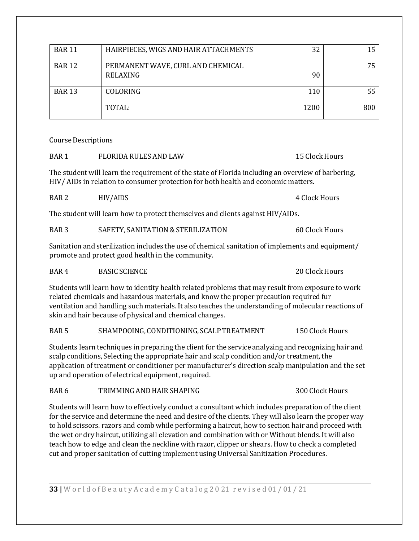| <b>BAR 11</b> | HAIRPIECES, WIGS AND HAIR ATTACHMENTS         | 32   |     |
|---------------|-----------------------------------------------|------|-----|
| <b>BAR 12</b> | PERMANENT WAVE, CURL AND CHEMICAL<br>RELAXING | 90   | 75  |
| <b>BAR 13</b> | COLORING                                      | 110  | 55  |
|               | TOTAL:                                        | 1200 | 800 |

Course Descriptions

| <b>FLORIDA RULES AND LAW</b><br>BAR <sub>1</sub> | 15 Clock Hours |
|--------------------------------------------------|----------------|
|--------------------------------------------------|----------------|

The student will learn the requirement of the state of Florida including an overview of barbering, HIV/ AIDs in relation to consumer protection for both health and economic matters.

BAR 2 HIV/AIDS 4 Clock Hours

The student will learn how to protect themselves and clients against HIV/AIDs.

| BAR <sub>3</sub> | SAFETY, SANITATION & STERILIZATION | 60 Clock Hours |
|------------------|------------------------------------|----------------|
|------------------|------------------------------------|----------------|

Sanitation and sterilization includes the use of chemical sanitation of implements and equipment/ promote and protect good health in the community.

BAR 4 BASIC SCIENCE 20 Clock Hours

Students will learn how to identity health related problems that may result from exposure to work related chemicals and hazardous materials, and know the proper precaution required fur ventilation and handling such materials. It also teaches the understanding of molecular reactions of skin and hair because of physical and chemical changes.

#### BAR 5 SHAMPOOING, CONDITIONING, SCALP TREATMENT 150 Clock Hours

Students learn techniques in preparing the client for the service analyzing and recognizing hair and scalp conditions, Selecting the appropriate hair and scalp condition and/or treatment, the application of treatment or conditioner per manufacturer's direction scalp manipulation and the set up and operation of electrical equipment, required.

BAR 6 TRIMMING AND HAIR SHAPING 300 Clock Hours

Students will learn how to effectively conduct a consultant which includes preparation of the client for the service and determine the need and desire of the clients. They will also learn the proper way to hold scissors. razors and comb while performing a haircut, how to section hair and proceed with the wet or dry haircut, utilizing all elevation and combination with or Without blends. It will also teach how to edge and clean the neckline with razor, clipper or shears. How to check a completed cut and proper sanitation of cutting implement using Universal Sanitization Procedures.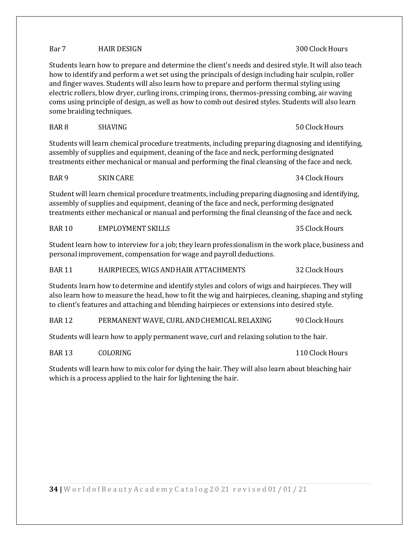### Bar 7 **HAIR DESIGN** 300 Clock Hours

Students learn how to prepare and determine the client's needs and desired style. It will also teach how to identify and perform a wet set using the principals of design including hair sculpin, roller and finger waves. Students will also learn how to prepare and perform thermal styling using electric rollers, blow dryer, curling irons, crimping irons, thermos-pressing combing, air waving coms using principle of design, as well as how to comb out desired styles. Students will also learn some braiding techniques.

Students will learn chemical procedure treatments, including preparing diagnosing and identifying, assembly of supplies and equipment, cleaning of the face and neck, performing designated treatments either mechanical or manual and performing the final cleansing of the face and neck.

BAR 8 SHAVING 50 ClockHours

BAR 9 SKIN CARE 34 Clock Hours

Student will learn chemical procedure treatments, including preparing diagnosing and identifying, assembly of supplies and equipment, cleaning of the face and neck, performing designated treatments either mechanical or manual and performing the final cleansing of the face and neck.

BAR 10 EMPLOYMENT SKILLS 35 Clock Hours

Student learn how to interview for a job; they learn professionalism in the work place, business and personal improvement, compensation for wage and payroll deductions.

BAR 11 HAIRPIECES, WIGS AND HAIR ATTACHMENTS 32 Clock Hours

Students learn how to determine and identify styles and colors of wigs and hairpieces. They will also learn how to measure the head, how to fit the wig and hairpieces, cleaning, shaping and styling to client's features and attaching and blending hairpieces or extensions into desired style.

BAR 12 PERMANENT WAVE, CURL AND CHEMICAL RELAXING 90 Clock Hours

Students will learn how to apply permanent wave, curl and relaxing solution to the hair.

BAR 13 COLORING 2008 2009 2009 110 Clock Hours

Students will learn how to mix color for dying the hair. They will also learn about bleaching hair which is a process applied to the hair for lightening the hair.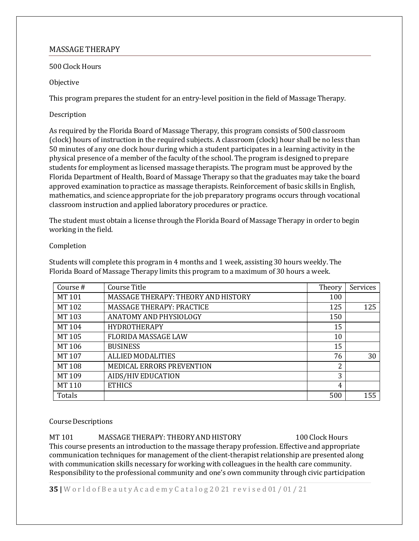#### <span id="page-34-0"></span>MASSAGE THERAPY

500 Clock Hours

Objective

This program prepares the student for an entry-level position in the field of Massage Therapy.

#### Description

As required by the Florida Board of Massage Therapy, this program consists of 500 classroom (clock) hours of instruction in the required subjects. A classroom (clock) hour shall be no less than 50 minutes of any one clock hour during which a student participates in a learning activity in the physical presence of a member of the faculty of the school. The program is designed to prepare students for employment as licensed massage therapists. The program must be approved by the Florida Department of Health, Board of Massage Therapy so that the graduates may take the board approved examination to practice as massage therapists. Reinforcement of basic skills in English, mathematics, and science appropriate for the job preparatory programs occurs through vocational classroom instruction and applied laboratory procedures or practice.

The student must obtain a license through the Florida Board of Massage Therapy in order to begin working in the field.

#### Completion

Students will complete this program in 4 months and 1 week, assisting 30 hours weekly. The Florida Board of Massage Therapy limits this program to a maximum of 30 hours a week.

| Course # | Course Title                        | Theory | Services |
|----------|-------------------------------------|--------|----------|
| MT 101   | MASSAGE THERAPY: THEORY AND HISTORY | 100    |          |
| MT 102   | MASSAGE THERAPY: PRACTICE           | 125    | 125      |
| MT 103   | ANATOMY AND PHYSIOLOGY              | 150    |          |
| MT 104   | <b>HYDROTHERAPY</b>                 | 15     |          |
| MT 105   | <b>FLORIDA MASSAGE LAW</b>          | 10     |          |
| MT 106   | <b>BUSINESS</b>                     | 15     |          |
| MT 107   | <b>ALLIED MODALITIES</b>            | 76     | 30       |
| MT 108   | <b>MEDICAL ERRORS PREVENTION</b>    | 2      |          |
| MT 109   | AIDS/HIV EDUCATION                  | 3      |          |
| MT 110   | <b>ETHICS</b>                       | 4      |          |
| Totals   |                                     | 500    | 155      |

#### **Course Descriptions**

MT 101 MASSAGE THERAPY: THEORY AND HISTORY 100 Clock Hours This course presents an introduction to the massage therapy profession. Effective and appropriate communication techniques for management of the client-therapist relationship are presented along with communication skills necessary for working with colleagues in the health care community. Responsibility to the professional community and one's own community through civic participation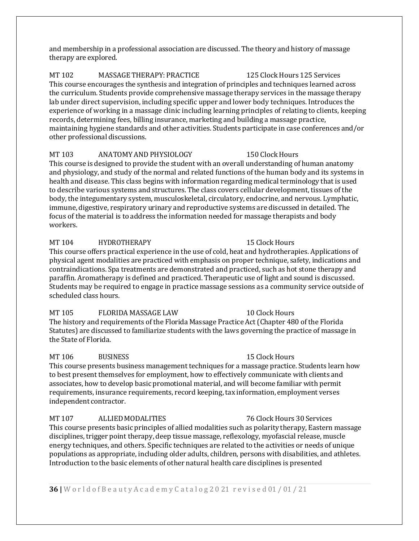and membership in a professional association are discussed. The theory and history of massage therapy are explored.

MT 102 MASSAGE THERAPY: PRACTICE 125 Clock Hours 125 Services This course encourages the synthesis and integration of principles and techniques learned across the curriculum. Students provide comprehensive massage therapy services in the massage therapy lab under direct supervision, including specific upper and lower body techniques. Introduces the experience of working in a massage clinic including learning principles of relating to clients, keeping records, determining fees, billing insurance, marketing and building a massage practice, maintaining hygiene standards and other activities. Students participate in case conferences and/or other professional discussions.

#### MT 103 ANATOMY AND PHYSIOLOGY 150 Clock Hours

This course is designed to provide the student with an overall understanding of human anatomy and physiology, and study of the normal and related functions of the human body and its systems in health and disease. This class begins with information regarding medical terminology that is used to describe various systems and structures. The class covers cellular development, tissues of the body,the integumentary system, musculoskeletal, circulatory, endocrine, and nervous. Lymphatic, immune, digestive, respiratory urinary and reproductive systems are discussed in detailed. The focus of the material is to address the information needed for massage therapists and body workers.

### MT 104 HYDROTHERAPY 15 Clock Hours

This course offers practical experience in the use of cold, heat and hydrotherapies. Applications of physical agent modalities are practiced with emphasis on proper technique, safety, indications and contraindications. Spa treatments are demonstrated and practiced, such as hot stone therapy and paraffin. Aromatherapy is defined and practiced. Therapeutic use of light and sound is discussed. Students may be required to engage in practice massage sessions as a community service outside of scheduled class hours.

MT 105 FLORIDA MASSAGE LAW 10 Clock Hours The history and requirements of the Florida Massage Practice Act(Chapter 480 of the Florida Statutes) are discussed to familiarize students with the laws governing the practice of massage in the State of Florida.

#### MT 106 BUSINESS 25 BUSINESS 2.5 Clock Hours

This course presents business management techniques for a massage practice. Students learn how to best present themselves for employment, how to effectively communicate with clients and associates, how to develop basic promotional material, and will become familiar with permit requirements, insurance requirements, record keeping,tax information, employment verses independent contractor.

#### MT 107 ALLIEDMODALITIES 76 ClockHours 30 Services

This course presents basic principles of allied modalities such as polarity therapy, Eastern massage disciplines, trigger point therapy, deep tissue massage, reflexology, myofascial release, muscle energy techniques, and others. Specific techniques are related to the activities or needs of unique populations as appropriate, including older adults, children, persons with disabilities, and athletes. Introduction to the basic elements of other natural health care disciplines is presented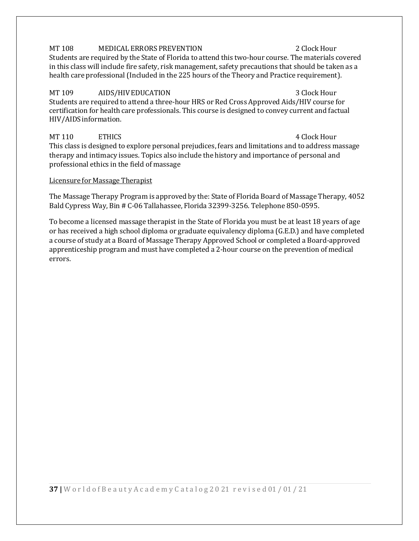#### MT 108 MEDICAL ERRORS PREVENTION 2 Clock Hour

Students are required by the State of Florida to attend this two-hour course. The materials covered in this class will include fire safety, risk management, safety precautions that should be taken as a health care professional (Included in the 225 hours of the Theory and Practice requirement).

### MT 109 AIDS/HIV EDUCATION AND SUCCESS AND A SUCCESS AND A SUCCESS AND A SUCCESS AND A SUCCESS AND A SUCCESS AN

Students are required to attend a three-hour HRS or Red Cross Approved Aids/HIV course for certification for health care professionals. This course is designed to convey current and factual HIV/AIDS information.

### MT 110 ETHICS 4 Clock Hour

This class is designed to explore personal prejudices, fears and limitations and to address massage therapy and intimacy issues. Topics also include the history and importance of personal and professional ethics in the field of massage

#### Licensure for Massage Therapist

The Massage Therapy Program is approved by the: State of Florida Board of Massage Therapy, 4052 Bald Cypress Way, Bin # C-06 Tallahassee, Florida 32399-3256. Telephone 850-0595.

To become a licensed massage therapist in the State of Florida you must be at least 18 years of age or has received a high school diploma or graduate equivalency diploma (G.E.D.) and have completed a course of study at a Board of Massage Therapy Approved School or completed a Board-approved apprenticeship program and must have completed a 2-hour course on the prevention of medical errors.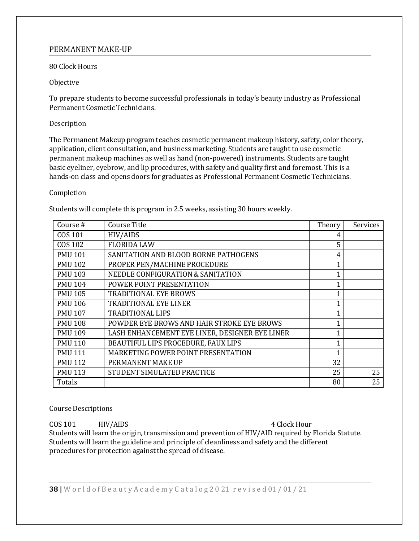#### <span id="page-37-0"></span>PERMANENT MAKE-UP

#### 80 Clock Hours

#### Objective

To prepare students to become successful professionals in today's beauty industry as Professional Permanent Cosmetic Technicians.

#### Description

The Permanent Makeup program teaches cosmetic permanent makeup history, safety, color theory, application, client consultation, and business marketing. Students are taught to use cosmetic permanent makeup machines as well as hand (non-powered) instruments. Students are taught basic eyeliner, eyebrow, and lip procedures, with safety and quality first and foremost. This is a hands-on class and opens doors for graduates as Professional Permanent Cosmetic Technicians.

#### Completion

Students will complete this program in 2.5 weeks, assisting 30 hours weekly.

| Course#        | Course Title                                   | Theory | Services |
|----------------|------------------------------------------------|--------|----------|
| COS 101        | HIV/AIDS                                       | 4      |          |
| <b>COS 102</b> | <b>FLORIDA LAW</b>                             | 5      |          |
| <b>PMU 101</b> | SANITATION AND BLOOD BORNE PATHOGENS           | 4      |          |
| <b>PMU 102</b> | PROPER PEN/MACHINE PROCEDURE                   | 1      |          |
| <b>PMU 103</b> | NEEDLE CONFIGURATION & SANITATION              | 1      |          |
| <b>PMU 104</b> | POWER POINT PRESENTATION                       | 1      |          |
| <b>PMU 105</b> | <b>TRADITIONAL EYE BROWS</b>                   | 1      |          |
| <b>PMU 106</b> | <b>TRADITIONAL EYE LINER</b>                   | 1      |          |
| <b>PMU 107</b> | <b>TRADITIONAL LIPS</b>                        | 1      |          |
| <b>PMU 108</b> | POWDER EYE BROWS AND HAIR STROKE EYE BROWS     | 1      |          |
| <b>PMU 109</b> | LASH ENHANCEMENT EYE LINER, DESIGNER EYE LINER | 1      |          |
| <b>PMU 110</b> | BEAUTIFUL LIPS PROCEDURE, FAUX LIPS            | 1      |          |
| <b>PMU 111</b> | MARKETING POWER POINT PRESENTATION             | 1      |          |
| <b>PMU 112</b> | PERMANENT MAKE UP                              | 32     |          |
| <b>PMU 113</b> | STUDENT SIMULATED PRACTICE                     | 25     | 25       |
| Totals         |                                                | 80     | 25       |

#### **Course Descriptions**

COS 101 HIV/AIDS 4 Clock Hour Students will learn the origin, transmission and prevention of HIV/AID required by Florida Statute.  $\,$ Students will learn the guideline and principle of cleanliness and safety and the different procedures for protection against the spread of disease.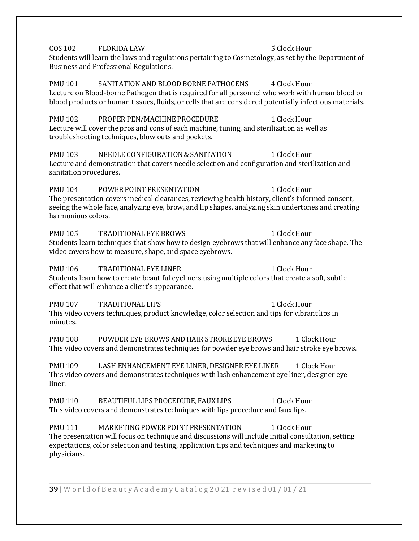COS 102 FLORIDA LAW 5 ClockHour Students will learn the laws and regulations pertaining to Cosmetology, as set by the Department of Business and Professional Regulations. PMU 101 SANITATION AND BLOOD BORNE PATHOGENS 4 Clock Hour Lecture on Blood-borne Pathogen that is required for all personnel who work with human blood or blood products or human tissues, fluids, or cells that are considered potentially infectious materials. PMU 102 PROPER PEN/MACHINE PROCEDURE 1 Clock Hour Lecture will cover the pros and cons of each machine, tuning, and sterilization as well as troubleshooting techniques, blow outs and pockets. PMU 103 NEEDLE CONFIGURATION & SANITATION 1 Clock Hour Lecture and demonstration that covers needle selection and configuration and sterilization and sanitation procedures. PMU 104 POWER POINT PRESENTATION 1 Clock Hour The presentation covers medical clearances, reviewing health history, client's informed consent, seeing the whole face, analyzing eye, brow, and lip shapes, analyzing skin undertones and creating harmonious colors. PMU 105 TRADITIONAL EYE BROWS 1 Clock Hour Students learn techniques that show how to design eyebrows that will enhance any face shape. The video covers how to measure, shape, and space eyebrows. PMU 106 TRADITIONAL EYE LINER 1 Clock Hour Students learn how to create beautiful eyeliners using multiple colors that create a soft, subtle effect that will enhance a client's appearance. PMU 107 TRADITIONAL LIPS 1 Clock Hour This video covers techniques, product knowledge, color selection and tips for vibrant lips in minutes. PMU 108 POWDER EYE BROWS AND HAIR STROKE EYE BROWS 1 Clock Hour This video covers and demonstrates techniques for powder eye brows and hair stroke eye brows. PMU 109 LASH ENHANCEMENT EYE LINER, DESIGNER EYE LINER 1 Clock Hour This video covers and demonstrates techniques with lash enhancement eye liner, designer eye liner. PMU 110 BEAUTIFUL LIPS PROCEDURE, FAUX LIPS 1 Clock Hour This video covers and demonstrates techniques with lips procedure and faux lips. PMU 111 MARKETING POWER POINT PRESENTATION 1 Clock Hour The presentation will focus on technique and discussions will include initial consultation, setting expectations, color selection and testing, application tips and techniques and marketing to

**39 |** W o r l d o f B e a u t y A c a d e m y C a t a l o g 2 0 21 r e v i s e d 01 / 01 / 21

physicians.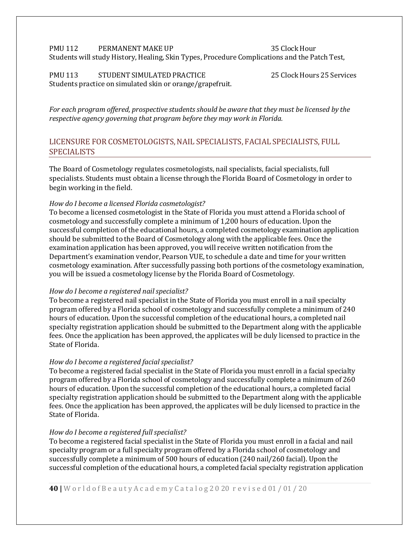#### PMU 112 PERMANENT MAKE UP 35 Clock Hour Students will study History, Healing, Skin Types, Procedure Complications and the Patch Test,

#### PMU 113 STUDENT SIMULATED PRACTICE 25 Clock Hours 25 Services Students practice on simulated skin or orange/grapefruit.

*For each program offered, prospective students should be aware that they must be licensed by the respective agency governing that program before they may work in Florida.*

#### <span id="page-39-0"></span>LICENSURE FOR COSMETOLOGISTS, NAIL SPECIALISTS, FACIAL SPECIALISTS, FULL SPECIALISTS

The Board of Cosmetology regulates cosmetologists, nail specialists, facial specialists, full specialists. Students must obtain a license through the Florida Board of Cosmetology in order to begin working in the field.

#### *How do I become a licensed Florida cosmetologist?*

To become a licensed cosmetologist in the State of Florida you must attend a Florida school of cosmetology and successfully complete a minimum of 1,200 hours of education. Upon the successful completion of the educational hours, a completed cosmetology examination application should be submitted to the Board of Cosmetology along with the applicable fees. Once the examination application has been approved, you will receive written notification from the Department's examination vendor, Pearson VUE, to schedule a date and time for your written cosmetology examination. After successfully passing both portions of the cosmetology examination, you will be issued a cosmetology license by the Florida Board of Cosmetology.

#### *How do I become a registered nailspecialist?*

To become a registered nail specialist in the State of Florida you must enroll in a nail specialty program offered by a Florida school of cosmetology and successfully complete a minimum of 240 hours of education. Upon the successful completion of the educational hours, a completed nail specialty registration application should be submitted to the Department along with the applicable fees. Once the application has been approved, the applicates will be duly licensed to practice in the State of Florida.

#### *How do I become a registered facialspecialist?*

To become a registered facial specialist in the State of Florida you must enroll in a facial specialty program offered by a Florida school of cosmetology and successfully complete a minimum of 260 hours of education. Upon the successful completion of the educational hours, a completed facial specialty registration application should be submitted to the Department along with the applicable fees. Once the application has been approved, the applicates will be duly licensed to practice in the State of Florida.

#### *How do I become a registered fullspecialist?*

To become a registered facial specialist in the State of Florida you must enroll in a facial and nail specialty program or a full specialty program offered by a Florida school of cosmetology and successfully complete a minimum of 500 hours of education (240 nail/260 facial). Upon the successful completion of the educational hours, a completed facial specialty registration application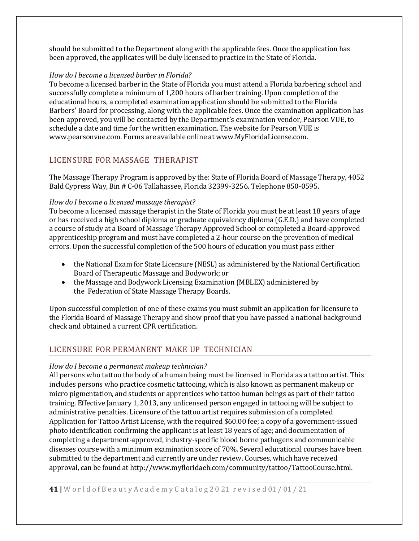should be submitted to the Department along with the applicable fees. Once the application has been approved, the applicates will be duly licensed to practice in the State of Florida.

#### *How do I become a licensed barber in Florida?*

To become a licensed barber in the State of Florida you must attend a Florida barbering school and successfully complete a minimum of 1,200 hours of barber training. Upon completion of the educational hours, a completed examination application should be submitted to the Florida Barbers' Board for processing, along with the applicable fees. Once the examination application has been approved, you will be contacted by the Department's examination vendor, Pearson VUE, to schedule a date and time for the written examination. The website for Pearson VUE is [www.pearsonvue.com.](http://www.pearsonvue.com/) Forms are available online at [www.MyFloridaLicense.com.](http://www.myfloridalicense.com/)

#### <span id="page-40-0"></span>LICENSURE FOR MASSAGE THERAPIST

The Massage Therapy Program is approved by the: State of Florida Board of Massage Therapy, 4052 Bald Cypress Way, Bin # C-06 Tallahassee, Florida 32399-3256. Telephone 850-0595.

#### *How do I become a licensed massage therapist?*

To become a licensed massage therapist in the State of Florida you must be at least 18 years of age or has received a high school diploma or graduate equivalency diploma (G.E.D.) and have completed a course of study at a Board of Massage Therapy Approved School or completed a Board-approved apprenticeship program and must have completed a 2-hour course on the prevention of medical errors. Upon the successful completion of the 500 hours of education you must pass either

- the National Exam for State Licensure (NESL) as administered by the National Certification Board of Therapeutic Massage and Bodywork; or
- the Massage and Bodywork Licensing Examination (MBLEX) administered by the Federation of State Massage Therapy Boards.

Upon successful completion of one of these exams you must submit an application for licensure to the Florida Board of Massage Therapy and show proof that you have passed a national background check and obtained a current CPR certification.

#### <span id="page-40-1"></span>LICENSURE FOR PERMANENT MAKE UP TECHNICIAN

#### *How do I become a permanent makeup technician?*

All persons who tattoo the body of a human being must be licensed in Florida as a tattoo artist. This includes persons who practice cosmetic tattooing, which is also known as permanent makeup or micro pigmentation, and students or apprentices who tattoo human beings as part of their tattoo training. Effective January 1, 2013, any unlicensed person engaged in tattooing will be subject to administrative penalties. Licensure of the tattoo artist requires submission of a completed Application for Tattoo Artist License, with the required \$60.00 fee; a copy of a government-issued photo identification confirming the applicant is at least 18 years of age; and documentation of completing a department-approved, industry-specific blood borne pathogens and communicable diseases course with a minimum examination score of 70%. Several educational courses have been submitted to the department and currently are under review. Courses, which have received approval, can be found at [http://www.myfloridaeh.com/community/tattoo/TattooCourse.html.](http://www.myfloridaeh.com/community/tattoo/TattooCourse.html)